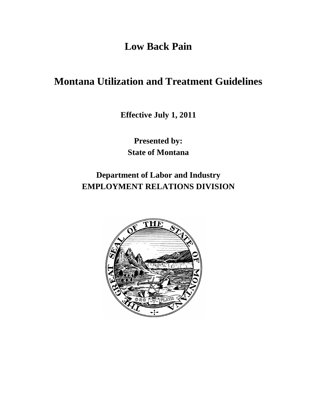**Low Back Pain**

# **Montana Utilization and Treatment Guidelines**

**Effective July 1, 2011**

**Presented by: State of Montana**

**Department of Labor and Industry EMPLOYMENT RELATIONS DIVISION**

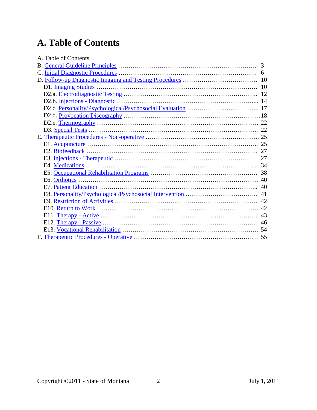# **A. Table of Contents**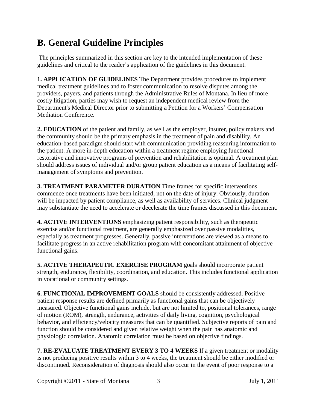# <span id="page-2-0"></span>**B. General Guideline Principles**

The principles summarized in this section are key to the intended implementation of these guidelines and critical to the reader's application of the guidelines in this document.

**1. APPLICATION OF GUIDELINES** The Department provides procedures to implement medical treatment guidelines and to foster communication to resolve disputes among the providers, payers, and patients through the Administrative Rules of Montana. In lieu of more costly litigation, parties may wish to request an independent medical review from the Department's Medical Director prior to submitting a Petition for a Workers' Compensation Mediation Conference.

**2. EDUCATION** of the patient and family, as well as the employer, insurer, policy makers and the community should be the primary emphasis in the treatment of pain and disability. An education-based paradigm should start with communication providing reassuring information to the patient. A more in-depth education within a treatment regime employing functional restorative and innovative programs of prevention and rehabilitation is optimal. A treatment plan should address issues of individual and/or group patient education as a means of facilitating selfmanagement of symptoms and prevention.

**3. TREATMENT PARAMETER DURATION** Time frames for specific interventions commence once treatments have been initiated, not on the date of injury. Obviously, duration will be impacted by patient compliance, as well as availability of services. Clinical judgment may substantiate the need to accelerate or decelerate the time frames discussed in this document.

**4. ACTIVE INTERVENTIONS** emphasizing patient responsibility, such as therapeutic exercise and/or functional treatment, are generally emphasized over passive modalities, especially as treatment progresses. Generally, passive interventions are viewed as a means to facilitate progress in an active rehabilitation program with concomitant attainment of objective functional gains.

**5. ACTIVE THERAPEUTIC EXERCISE PROGRAM** goals should incorporate patient strength, endurance, flexibility, coordination, and education. This includes functional application in vocational or community settings.

**6. FUNCTIONAL IMPROVEMENT GOALS** should be consistently addressed. Positive patient response results are defined primarily as functional gains that can be objectively measured. Objective functional gains include, but are not limited to, positional tolerances, range of motion (ROM), strength, endurance, activities of daily living, cognition, psychological behavior, and efficiency/velocity measures that can be quantified. Subjective reports of pain and function should be considered and given relative weight when the pain has anatomic and physiologic correlation. Anatomic correlation must be based on objective findings.

**7. RE-EVALUATE TREATMENT EVERY 3 TO 4 WEEKS** If a given treatment or modality is not producing positive results within 3 to 4 weeks, the treatment should be either modified or discontinued. Reconsideration of diagnosis should also occur in the event of poor response to a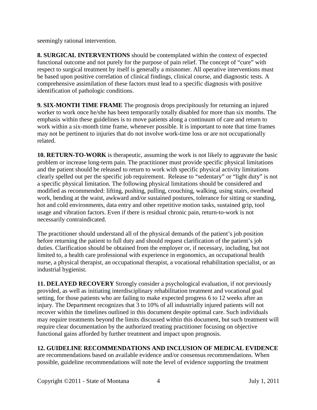seemingly rational intervention.

**8. SURGICAL INTERVENTIONS** should be contemplated within the context of expected functional outcome and not purely for the purpose of pain relief. The concept of "cure" with respect to surgical treatment by itself is generally a misnomer. All operative interventions must be based upon positive correlation of clinical findings, clinical course, and diagnostic tests. A comprehensive assimilation of these factors must lead to a specific diagnosis with positive identification of pathologic conditions.

**9. SIX-MONTH TIME FRAME** The prognosis drops precipitously for returning an injured worker to work once he/she has been temporarily totally disabled for more than six months. The emphasis within these guidelines is to move patients along a continuum of care and return to work within a six-month time frame, whenever possible. It is important to note that time frames may not be pertinent to injuries that do not involve work-time loss or are not occupationally related.

**10. RETURN-TO-WORK** is therapeutic, assuming the work is not likely to aggravate the basic problem or increase long-term pain. The practitioner must provide specific physical limitations and the patient should be released to return to work with specific physical activity limitations clearly spelled out per the specific job requirement. Release to "sedentary" or "light duty" is not a specific physical limitation. The following physical limitations should be considered and modified as recommended: lifting, pushing, pulling, crouching, walking, using stairs, overhead work, bending at the waist, awkward and/or sustained postures, tolerance for sitting or standing, hot and cold environments, data entry and other repetitive motion tasks, sustained grip, tool usage and vibration factors. Even if there is residual chronic pain, return-to-work is not necessarily contraindicated.

The practitioner should understand all of the physical demands of the patient's job position before returning the patient to full duty and should request clarification of the patient's job duties. Clarification should be obtained from the employer or, if necessary, including, but not limited to, a health care professional with experience in ergonomics, an occupational health nurse, a physical therapist, an occupational therapist, a vocational rehabilitation specialist, or an industrial hygienist.

**11. DELAYED RECOVERY** Strongly consider a psychological evaluation, if not previously provided, as well as initiating interdisciplinary rehabilitation treatment and vocational goal setting, for those patients who are failing to make expected progress 6 to 12 weeks after an injury. The Department recognizes that 3 to 10% of all industrially injured patients will not recover within the timelines outlined in this document despite optimal care. Such individuals may require treatments beyond the limits discussed within this document, but such treatment will require clear documentation by the authorized treating practitioner focusing on objective functional gains afforded by further treatment and impact upon prognosis.

#### **12. GUIDELINE RECOMMENDATIONS AND INCLUSION OF MEDICAL EVIDENCE**

are recommendations based on available evidence and/or consensus recommendations. When possible, guideline recommendations will note the level of evidence supporting the treatment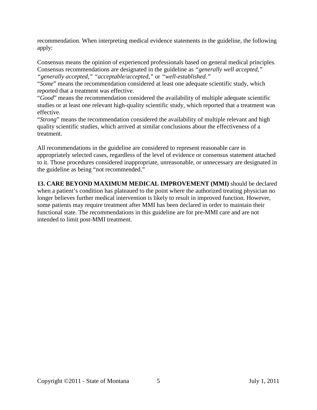recommendation. When interpreting medical evidence statements in the guideline, the following apply:

Consensus means the opinion of experienced professionals based on general medical principles. Consensus recommendations are designated in the guideline as *"generally well accepted," "generally accepted," "acceptable/accepted,"* or *"well-established."*

"*Some*" means the recommendation considered at least one adequate scientific study, which reported that a treatment was effective.

"*Good*" means the recommendation considered the availability of multiple adequate scientific studies or at least one relevant high-quality scientific study, which reported that a treatment was effective.

"*Strong*" means the recommendation considered the availability of multiple relevant and high quality scientific studies, which arrived at similar conclusions about the effectiveness of a treatment.

All recommendations in the guideline are considered to represent reasonable care in appropriately selected cases, regardless of the level of evidence or consensus statement attached to it. Those procedures considered inappropriate, unreasonable, or unnecessary are designated in the guideline as being "not recommended."

**13. CARE BEYOND MAXIMUM MEDICAL IMPROVEMENT (MMI)** should be declared when a patient's condition has plateaued to the point where the authorized treating physician no longer believes further medical intervention is likely to result in improved function. However, some patients may require treatment after MMI has been declared in order to maintain their functional state. The recommendations in this guideline are for pre-MMI care and are not intended to limit post-MMI treatment.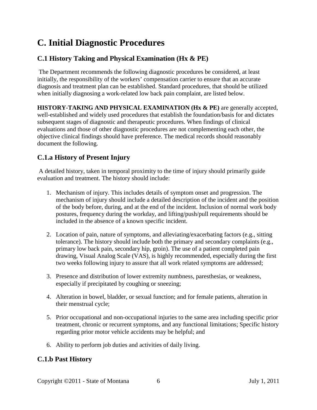# <span id="page-5-0"></span>**C. Initial Diagnostic Procedures**

# **C.1 History Taking and Physical Examination (Hx & PE)**

The Department recommends the following diagnostic procedures be considered, at least initially, the responsibility of the workers' compensation carrier to ensure that an accurate diagnosis and treatment plan can be established. Standard procedures, that should be utilized when initially diagnosing a work-related low back pain complaint, are listed below.

**HISTORY-TAKING AND PHYSICAL EXAMINATION (Hx & PE)** are generally accepted, well-established and widely used procedures that establish the foundation/basis for and dictates subsequent stages of diagnostic and therapeutic procedures. When findings of clinical evaluations and those of other diagnostic procedures are not complementing each other, the objective clinical findings should have preference. The medical records should reasonably document the following.

# **C.1.a History of Present Injury**

A detailed history, taken in temporal proximity to the time of injury should primarily guide evaluation and treatment. The history should include:

- 1. Mechanism of injury. This includes details of symptom onset and progression. The mechanism of injury should include a detailed description of the incident and the position of the body before, during, and at the end of the incident. Inclusion of normal work body postures, frequency during the workday, and lifting/push/pull requirements should be included in the absence of a known specific incident.
- 2. Location of pain, nature of symptoms, and alleviating/exacerbating factors (e.g., sitting tolerance). The history should include both the primary and secondary complaints (e.g., primary low back pain, secondary hip, groin). The use of a patient completed pain drawing, Visual Analog Scale (VAS), is highly recommended, especially during the first two weeks following injury to assure that all work related symptoms are addressed;
- 3. Presence and distribution of lower extremity numbness, paresthesias, or weakness, especially if precipitated by coughing or sneezing;
- 4. Alteration in bowel, bladder, or sexual function; and for female patients, alteration in their menstrual cycle;
- 5. Prior occupational and non-occupational injuries to the same area including specific prior treatment, chronic or recurrent symptoms, and any functional limitations; Specific history regarding prior motor vehicle accidents may be helpful; and
- 6. Ability to perform job duties and activities of daily living.

## **C.1.b Past History**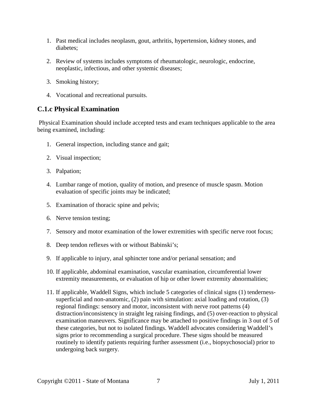- 1. Past medical includes neoplasm, gout, arthritis, hypertension, kidney stones, and diabetes;
- 2. Review of systems includes symptoms of rheumatologic, neurologic, endocrine, neoplastic, infectious, and other systemic diseases;
- 3. Smoking history;
- 4. Vocational and recreational pursuits.

## **C.1.c Physical Examination**

Physical Examination should include accepted tests and exam techniques applicable to the area being examined, including:

- 1. General inspection, including stance and gait;
- 2. Visual inspection;
- 3. Palpation;
- 4. Lumbar range of motion, quality of motion, and presence of muscle spasm. Motion evaluation of specific joints may be indicated;
- 5. Examination of thoracic spine and pelvis;
- 6. Nerve tension testing;
- 7. Sensory and motor examination of the lower extremities with specific nerve root focus;
- 8. Deep tendon reflexes with or without Babinski's;
- 9. If applicable to injury, anal sphincter tone and/or perianal sensation; and
- 10. If applicable, abdominal examination, vascular examination, circumferential lower extremity measurements, or evaluation of hip or other lower extremity abnormalities;
- 11. If applicable, Waddell Signs, which include 5 categories of clinical signs (1) tendernesssuperficial and non-anatomic, (2) pain with simulation: axial loading and rotation, (3) regional findings: sensory and motor, inconsistent with nerve root patterns (4) distraction/inconsistency in straight leg raising findings, and (5) over-reaction to physical examination maneuvers. Significance may be attached to positive findings in 3 out of 5 of these categories, but not to isolated findings. Waddell advocates considering Waddell's signs prior to recommending a surgical procedure. These signs should be measured routinely to identify patients requiring further assessment (i.e., biopsychosocial) prior to undergoing back surgery.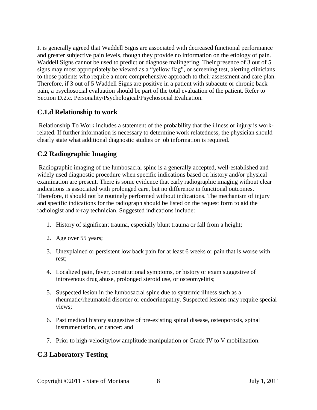It is generally agreed that Waddell Signs are associated with decreased functional performance and greater subjective pain levels, though they provide no information on the etiology of pain. Waddell Signs cannot be used to predict or diagnose malingering. Their presence of 3 out of 5 signs may most appropriately be viewed as a "yellow flag", or screening test, alerting clinicians to those patients who require a more comprehensive approach to their assessment and care plan. Therefore, if 3 out of 5 Waddell Signs are positive in a patient with subacute or chronic back pain, a psychosocial evaluation should be part of the total evaluation of the patient. Refer to Section D.2.c. Personality/Psychological/Psychosocial Evaluation.

#### **C.1.d Relationship to work**

Relationship To Work includes a statement of the probability that the illness or injury is workrelated. If further information is necessary to determine work relatedness, the physician should clearly state what additional diagnostic studies or job information is required.

#### **C.2 Radiographic Imaging**

Radiographic imaging of the lumbosacral spine is a generally accepted, well-established and widely used diagnostic procedure when specific indications based on history and/or physical examination are present. There is some evidence that early radiographic imaging without clear indications is associated with prolonged care, but no difference in functional outcomes. Therefore, it should not be routinely performed without indications. The mechanism of injury and specific indications for the radiograph should be listed on the request form to aid the radiologist and x-ray technician. Suggested indications include:

- 1. History of significant trauma, especially blunt trauma or fall from a height;
- 2. Age over 55 years;
- 3. Unexplained or persistent low back pain for at least 6 weeks or pain that is worse with rest;
- 4. Localized pain, fever, constitutional symptoms, or history or exam suggestive of intravenous drug abuse, prolonged steroid use, or osteomyelitis;
- 5. Suspected lesion in the lumbosacral spine due to systemic illness such as a rheumatic/rheumatoid disorder or endocrinopathy. Suspected lesions may require special views;
- 6. Past medical history suggestive of pre-existing spinal disease, osteoporosis, spinal instrumentation, or cancer; and
- 7. Prior to high-velocity/low amplitude manipulation or Grade IV to V mobilization.

#### **C.3 Laboratory Testing**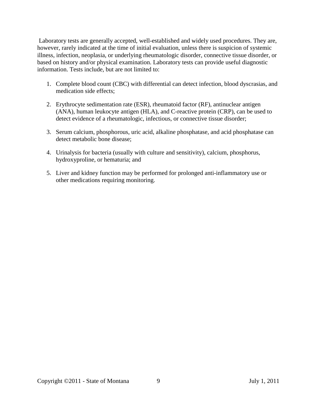Laboratory tests are generally accepted, well-established and widely used procedures. They are, however, rarely indicated at the time of initial evaluation, unless there is suspicion of systemic illness, infection, neoplasia, or underlying rheumatologic disorder, connective tissue disorder, or based on history and/or physical examination. Laboratory tests can provide useful diagnostic information. Tests include, but are not limited to:

- 1. Complete blood count (CBC) with differential can detect infection, blood dyscrasias, and medication side effects;
- 2. Erythrocyte sedimentation rate (ESR), rheumatoid factor (RF), antinuclear antigen (ANA), human leukocyte antigen (HLA), and C-reactive protein (CRP), can be used to detect evidence of a rheumatologic, infectious, or connective tissue disorder;
- 3. Serum calcium, phosphorous, uric acid, alkaline phosphatase, and acid phosphatase can detect metabolic bone disease;
- 4. Urinalysis for bacteria (usually with culture and sensitivity), calcium, phosphorus, hydroxyproline, or hematuria; and
- 5. Liver and kidney function may be performed for prolonged anti-inflammatory use or other medications requiring monitoring.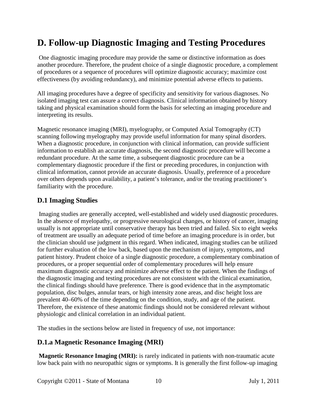# <span id="page-9-0"></span>**D. Follow-up Diagnostic Imaging and Testing Procedures**

One diagnostic imaging procedure may provide the same or distinctive information as does another procedure. Therefore, the prudent choice of a single diagnostic procedure, a complement of procedures or a sequence of procedures will optimize diagnostic accuracy; maximize cost effectiveness (by avoiding redundancy), and minimize potential adverse effects to patients.

All imaging procedures have a degree of specificity and sensitivity for various diagnoses. No isolated imaging test can assure a correct diagnosis. Clinical information obtained by history taking and physical examination should form the basis for selecting an imaging procedure and interpreting its results.

Magnetic resonance imaging (MRI), myelography, or Computed Axial Tomography (CT) scanning following myelography may provide useful information for many spinal disorders. When a diagnostic procedure, in conjunction with clinical information, can provide sufficient information to establish an accurate diagnosis, the second diagnostic procedure will become a redundant procedure. At the same time, a subsequent diagnostic procedure can be a complementary diagnostic procedure if the first or preceding procedures, in conjunction with clinical information, cannot provide an accurate diagnosis. Usually, preference of a procedure over others depends upon availability, a patient's tolerance, and/or the treating practitioner's familiarity with the procedure.

## <span id="page-9-1"></span>**D.1 Imaging Studies**

Imaging studies are generally accepted, well-established and widely used diagnostic procedures. In the absence of myelopathy, or progressive neurological changes, or history of cancer, imaging usually is not appropriate until conservative therapy has been tried and failed. Six to eight weeks of treatment are usually an adequate period of time before an imaging procedure is in order, but the clinician should use judgment in this regard. When indicated, imaging studies can be utilized for further evaluation of the low back, based upon the mechanism of injury, symptoms, and patient history. Prudent choice of a single diagnostic procedure, a complementary combination of procedures, or a proper sequential order of complementary procedures will help ensure maximum diagnostic accuracy and minimize adverse effect to the patient. When the findings of the diagnostic imaging and testing procedures are not consistent with the clinical examination, the clinical findings should have preference. There is good evidence that in the asymptomatic population, disc bulges, annular tears, or high intensity zone areas, and disc height loss are prevalent 40–60% of the time depending on the condition, study, and age of the patient. Therefore, the existence of these anatomic findings should not be considered relevant without physiologic and clinical correlation in an individual patient.

The studies in the sections below are listed in frequency of use, not importance:

#### **D.1.a Magnetic Resonance Imaging (MRI)**

**Magnetic Resonance Imaging (MRI):** is rarely indicated in patients with non-traumatic acute low back pain with no neuropathic signs or symptoms. It is generally the first follow-up imaging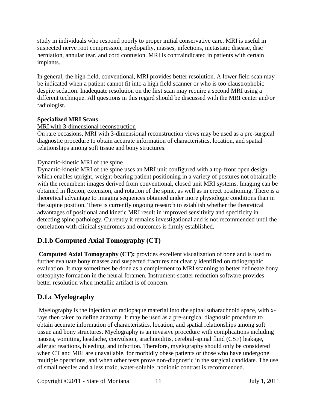study in individuals who respond poorly to proper initial conservative care. MRI is useful in suspected nerve root compression, myelopathy, masses, infections, metastatic disease, disc herniation, annular tear, and cord contusion. MRI is contraindicated in patients with certain implants.

In general, the high field, conventional, MRI provides better resolution. A lower field scan may be indicated when a patient cannot fit into a high field scanner or who is too claustrophobic despite sedation. Inadequate resolution on the first scan may require a second MRI using a different technique. All questions in this regard should be discussed with the MRI center and/or radiologist.

#### **Specialized MRI Scans**

#### MRI with 3-dimensional reconstruction

On rare occasions, MRI with 3-dimensional reconstruction views may be used as a pre-surgical diagnostic procedure to obtain accurate information of characteristics, location, and spatial relationships among soft tissue and bony structures.

#### Dynamic-kinetic MRI of the spine

Dynamic-kinetic MRI of the spine uses an MRI unit configured with a top-front open design which enables upright, weight-bearing patient positioning in a variety of postures not obtainable with the recumbent images derived from conventional, closed unit MRI systems. Imaging can be obtained in flexion, extension, and rotation of the spine, as well as in erect positioning. There is a theoretical advantage to imaging sequences obtained under more physiologic conditions than in the supine position. There is currently ongoing research to establish whether the theoretical advantages of positional and kinetic MRI result in improved sensitivity and specificity in detecting spine pathology. Currently it remains investigational and is not recommended until the correlation with clinical syndromes and outcomes is firmly established.

# **D.1.b Computed Axial Tomography (CT)**

**Computed Axial Tomography (CT):** provides excellent visualization of bone and is used to further evaluate bony masses and suspected fractures not clearly identified on radiographic evaluation. It may sometimes be done as a complement to MRI scanning to better delineate bony osteophyte formation in the neural foramen. Instrument-scatter reduction software provides better resolution when metallic artifact is of concern.

# **D.1.c Myelography**

Myelography is the injection of radiopaque material into the spinal subarachnoid space, with xrays then taken to define anatomy. It may be used as a pre-surgical diagnostic procedure to obtain accurate information of characteristics, location, and spatial relationships among soft tissue and bony structures. Myelography is an invasive procedure with complications including nausea, vomiting, headache, convulsion, arachnoiditis, cerebral-spinal fluid (CSF) leakage, allergic reactions, bleeding, and infection. Therefore, myelography should only be considered when CT and MRI are unavailable, for morbidly obese patients or those who have undergone multiple operations, and when other tests prove non-diagnostic in the surgical candidate. The use of small needles and a less toxic, water-soluble, nonionic contrast is recommended.

Copyright ©2011 - State of Montana 11 July 1, 2011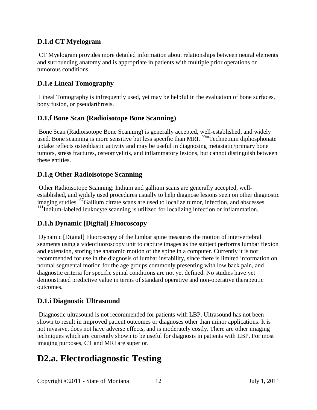## **D.1.d CT Myelogram**

CT Myelogram provides more detailed information about relationships between neural elements and surrounding anatomy and is appropriate in patients with multiple prior operations or tumorous conditions.

## **D.1.e Lineal Tomography**

Lineal Tomography is infrequently used, yet may be helpful in the evaluation of bone surfaces, bony fusion, or pseudarthrosis.

## **D.1.f Bone Scan (Radioisotope Bone Scanning)**

Bone Scan (Radioisotope Bone Scanning) is generally accepted, well-established, and widely used. Bone scanning is more sensitive but less specific than MRI. <sup>99m</sup>Technetium diphosphonate uptake reflects osteoblastic activity and may be useful in diagnosing metastatic/primary bone tumors, stress fractures, osteomyelitis, and inflammatory lesions, but cannot distinguish between these entities.

## **D.1.g Other Radioisotope Scanning**

Other Radioisotope Scanning: Indium and gallium scans are generally accepted, wellestablished, and widely used procedures usually to help diagnose lesions seen on other diagnostic imaging studies. <sup>67</sup>Gallium citrate scans are used to localize tumor, infection, and abscesses.  $111$ Indium-labeled leukocyte scanning is utilized for localizing infection or inflammation.

## **D.1.h Dynamic [Digital] Fluoroscopy**

Dynamic [Digital] Fluoroscopy of the lumbar spine measures the motion of intervertebral segments using a videofluoroscopy unit to capture images as the subject performs lumbar flexion and extension, storing the anatomic motion of the spine in a computer. Currently it is not recommended for use in the diagnosis of lumbar instability, since there is limited information on normal segmental motion for the age groups commonly presenting with low back pain, and diagnostic criteria for specific spinal conditions are not yet defined. No studies have yet demonstrated predictive value in terms of standard operative and non-operative therapeutic outcomes.

## **D.1.i Diagnostic Ultrasound**

Diagnostic ultrasound is not recommended for patients with LBP. Ultrasound has not been shown to result in improved patient outcomes or diagnoses other than minor applications. It is not invasive, does not have adverse effects, and is moderately costly. There are other imaging techniques which are currently shown to be useful for diagnosis in patients with LBP. For most imaging purposes, CT and MRI are superior.

# <span id="page-11-0"></span>**D2.a. Electrodiagnostic Testing**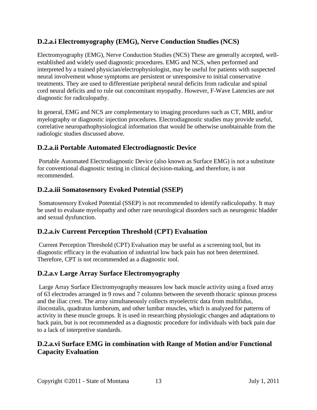## **D.2.a.i Electromyography (EMG), Nerve Conduction Studies (NCS)**

Electromyography (EMG), Nerve Conduction Studies (NCS) These are generally accepted, wellestablished and widely used diagnostic procedures. EMG and NCS, when performed and interpreted by a trained physician/electrophysiologist, may be useful for patients with suspected neural involvement whose symptoms are persistent or unresponsive to initial conservative treatments. They are used to differentiate peripheral neural deficits from radicular and spinal cord neural deficits and to rule out concomitant myopathy. However, F-Wave Latencies are not diagnostic for radiculopathy.

In general, EMG and NCS are complementary to imaging procedures such as CT, MRI, and/or myelography or diagnostic injection procedures. Electrodiagnostic studies may provide useful, correlative neuropathophysiological information that would be otherwise unobtainable from the radiologic studies discussed above.

## **D.2.a.ii Portable Automated Electrodiagnostic Device**

Portable Automated Electrodiagnostic Device (also known as Surface EMG) is not a substitute for conventional diagnostic testing in clinical decision-making, and therefore, is not recommended.

## **D.2.a.iii Somatosensory Evoked Potential (SSEP)**

Somatosensory Evoked Potential (SSEP) is not recommended to identify radiculopathy. It may be used to evaluate myelopathy and other rare neurological disorders such as neurogenic bladder and sexual dysfunction.

## **D.2.a.iv Current Perception Threshold (CPT) Evaluation**

Current Perception Threshold (CPT) Evaluation may be useful as a screening tool, but its diagnostic efficacy in the evaluation of industrial low back pain has not been determined. Therefore, CPT is not recommended as a diagnostic tool.

## **D.2.a.v Large Array Surface Electromyography**

Large Array Surface Electromyography measures low back muscle activity using a fixed array of 63 electrodes arranged in 9 rows and 7 columns between the seventh thoracic spinous process and the iliac crest. The array simultaneously collects myoelectric data from multifidus, iliocostalis, quadratus lumborum, and other lumbar muscles, which is analyzed for patterns of activity in these muscle groups. It is used in researching physiologic changes and adaptations to back pain, but is not recommended as a diagnostic procedure for individuals with back pain due to a lack of interpretive standards.

## **D.2.a.vi Surface EMG in combination with Range of Motion and/or Functional Capacity Evaluation**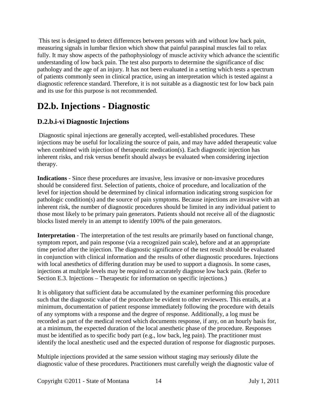This test is designed to detect differences between persons with and without low back pain, measuring signals in lumbar flexion which show that painful paraspinal muscles fail to relax fully. It may show aspects of the pathophysiology of muscle activity which advance the scientific understanding of low back pain. The test also purports to determine the significance of disc pathology and the age of an injury. It has not been evaluated in a setting which tests a spectrum of patients commonly seen in clinical practice, using an interpretation which is tested against a diagnostic reference standard. Therefore, it is not suitable as a diagnostic test for low back pain and its use for this purpose is not recommended.

# <span id="page-13-0"></span>**D2.b. Injections - Diagnostic**

## **D.2.b.i-vi Diagnostic Injections**

Diagnostic spinal injections are generally accepted, well-established procedures. These injections may be useful for localizing the source of pain, and may have added therapeutic value when combined with injection of therapeutic medication(s). Each diagnostic injection has inherent risks, and risk versus benefit should always be evaluated when considering injection therapy.

**Indications** - Since these procedures are invasive, less invasive or non-invasive procedures should be considered first. Selection of patients, choice of procedure, and localization of the level for injection should be determined by clinical information indicating strong suspicion for pathologic condition(s) and the source of pain symptoms. Because injections are invasive with an inherent risk, the number of diagnostic procedures should be limited in any individual patient to those most likely to be primary pain generators. Patients should not receive all of the diagnostic blocks listed merely in an attempt to identify 100% of the pain generators.

**Interpretation** - The interpretation of the test results are primarily based on functional change, symptom report, and pain response (via a recognized pain scale), before and at an appropriate time period after the injection. The diagnostic significance of the test result should be evaluated in conjunction with clinical information and the results of other diagnostic procedures. Injections with local anesthetics of differing duration may be used to support a diagnosis. In some cases, injections at multiple levels may be required to accurately diagnose low back pain. (Refer to Section E.3. Injections – Therapeutic for information on specific injections.)

It is obligatory that sufficient data be accumulated by the examiner performing this procedure such that the diagnostic value of the procedure be evident to other reviewers. This entails, at a minimum, documentation of patient response immediately following the procedure with details of any symptoms with a response and the degree of response. Additionally, a log must be recorded as part of the medical record which documents response, if any, on an hourly basis for, at a minimum, the expected duration of the local anesthetic phase of the procedure. Responses must be identified as to specific body part (e.g., low back, leg pain). The practitioner must identify the local anesthetic used and the expected duration of response for diagnostic purposes.

Multiple injections provided at the same session without staging may seriously dilute the diagnostic value of these procedures. Practitioners must carefully weigh the diagnostic value of

Copyright ©2011 - State of Montana 14 July 1, 2011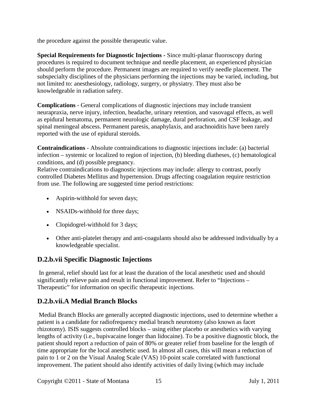the procedure against the possible therapeutic value.

**Special Requirements for Diagnostic Injections -** Since multi-planar fluoroscopy during procedures is required to document technique and needle placement, an experienced physician should perform the procedure. Permanent images are required to verify needle placement. The subspecialty disciplines of the physicians performing the injections may be varied, including, but not limited to: anesthesiology, radiology, surgery, or physiatry. They must also be knowledgeable in radiation safety.

**Complications** - General complications of diagnostic injections may include transient neurapraxia, nerve injury, infection, headache, urinary retention, and vasovagal effects, as well as epidural hematoma, permanent neurologic damage, dural perforation, and CSF leakage, and spinal meningeal abscess. Permanent paresis, anaphylaxis, and arachnoiditis have been rarely reported with the use of epidural steroids.

**Contraindications** - Absolute contraindications to diagnostic injections include: (a) bacterial infection – systemic or localized to region of injection, (b) bleeding diatheses, (c) hematological conditions, and (d) possible pregnancy.

Relative contraindications to diagnostic injections may include: allergy to contrast, poorly controlled Diabetes Mellitus and hypertension. Drugs affecting coagulation require restriction from use. The following are suggested time period restrictions:

- Aspirin-withhold for seven days;
- NSAIDs-withhold for three days;
- Clopidogrel-withhold for 3 days;
- Other anti-platelet therapy and anti-coagulants should also be addressed individually by a knowledgeable specialist.

## **D.2.b.vii Specific Diagnostic Injections**

In general, relief should last for at least the duration of the local anesthetic used and should significantly relieve pain and result in functional improvement. Refer to "Injections – Therapeutic" for information on specific therapeutic injections.

# **D.2.b.vii.A Medial Branch Blocks**

Medial Branch Blocks are generally accepted diagnostic injections, used to determine whether a patient is a candidate for radiofrequency medial branch neurotomy (also known as facet rhizotomy). ISIS suggests controlled blocks – using either placebo or anesthetics with varying lengths of activity (i.e., bupivacaine longer than lidocaine). To be a positive diagnostic block, the patient should report a reduction of pain of 80% or greater relief from baseline for the length of time appropriate for the local anesthetic used. In almost all cases, this will mean a reduction of pain to 1 or 2 on the Visual Analog Scale (VAS) 10-point scale correlated with functional improvement. The patient should also identify activities of daily living (which may include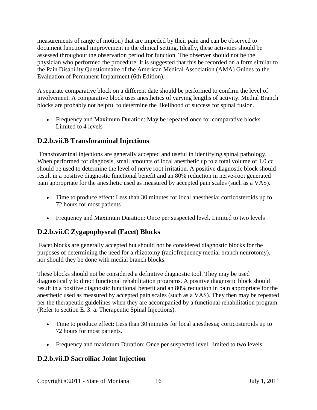measurements of range of motion) that are impeded by their pain and can be observed to document functional improvement in the clinical setting. Ideally, these activities should be assessed throughout the observation period for function. The observer should not be the physician who performed the procedure. It is suggested that this be recorded on a form similar to the Pain Disability Questionnaire of the American Medical Association (AMA) Guides to the Evaluation of Permanent Impairment (6th Edition).

A separate comparative block on a different date should be performed to confirm the level of involvement. A comparative block uses anesthetics of varying lengths of activity. Medial Branch blocks are probably not helpful to determine the likelihood of success for spinal fusion.

• Frequency and Maximum Duration: May be repeated once for comparative blocks. Limited to 4 levels

## **D.2.b.vii.B Transforaminal Injections**

Transforaminal injections are generally accepted and useful in identifying spinal pathology. When performed for diagnosis, small amounts of local anesthetic up to a total volume of 1.0 cc should be used to determine the level of nerve root irritation. A positive diagnostic block should result in a positive diagnostic functional benefit and an 80% reduction in nerve-root generated pain appropriate for the anesthetic used as measured by accepted pain scales (such as a VAS).

- Time to produce effect: Less than 30 minutes for local anesthesia; corticosteroids up to 72 hours for most patients
- Frequency and Maximum Duration: Once per suspected level. Limited to two levels

# **D.2.b.vii.C Zygapophyseal (Facet) Blocks**

Facet blocks are generally accepted but should not be considered diagnostic blocks for the purposes of determining the need for a rhizotomy (radiofrequency medial branch neurotomy), nor should they be done with medial branch blocks.

These blocks should not be considered a definitive diagnostic tool. They may be used diagnostically to direct functional rehabilitation programs. A positive diagnostic block should result in a positive diagnostic functional benefit and an 80% reduction in pain appropriate for the anesthetic used as measured by accepted pain scales (such as a VAS). They then may be repeated per the therapeutic guidelines when they are accompanied by a functional rehabilitation program. (Refer to section E. 3. a. Therapeutic Spinal Injections).

- Time to produce effect: Less than 30 minutes for local anesthesia; corticosteroids up to 72 hours for most patients.
- Frequency and maximum Duration: Once per suspected level, limited to two levels.

## **D.2.b.vii.D Sacroiliac Joint Injection**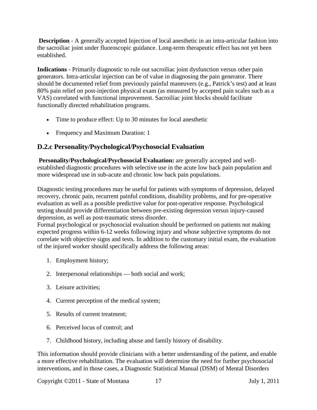**Description** - A generally accepted Injection of local anesthetic in an intra-articular fashion into the sacroiliac joint under fluoroscopic guidance. Long-term therapeutic effect has not yet been established.

**Indications** - Primarily diagnostic to rule out sacroiliac joint dysfunction versus other pain generators. Intra-articular injection can be of value in diagnosing the pain generator. There should be documented relief from previously painful maneuvers (e.g., Patrick's test) and at least 80% pain relief on post-injection physical exam (as measured by accepted pain scales such as a VAS) correlated with functional improvement. Sacroiliac joint blocks should facilitate functionally directed rehabilitation programs.

- Time to produce effect: Up to 30 minutes for local anesthetic
- <span id="page-16-0"></span>• Frequency and Maximum Duration: 1

## **D.2.c Personality/Psychological/Psychosocial Evaluation**

**Personality/Psychological/Psychosocial Evaluation:** are generally accepted and wellestablished diagnostic procedures with selective use in the acute low back pain population and more widespread use in sub-acute and chronic low back pain populations.

Diagnostic testing procedures may be useful for patients with symptoms of depression, delayed recovery, chronic pain, recurrent painful conditions, disability problems, and for pre-operative evaluation as well as a possible predictive value for post-operative response. Psychological testing should provide differentiation between pre-existing depression versus injury-caused depression, as well as post-traumatic stress disorder.

Formal psychological or psychosocial evaluation should be performed on patients not making expected progress within 6-12 weeks following injury and whose subjective symptoms do not correlate with objective signs and tests. In addition to the customary initial exam, the evaluation of the injured worker should specifically address the following areas:

- 1. Employment history;
- 2. Interpersonal relationships both social and work;
- 3. Leisure activities;
- 4. Current perception of the medical system;
- 5. Results of current treatment;
- 6. Perceived locus of control; and
- 7. Childhood history, including abuse and family history of disability.

This information should provide clinicians with a better understanding of the patient, and enable a more effective rehabilitation. The evaluation will determine the need for further psychosocial interventions, and in those cases, a Diagnostic Statistical Manual (DSM) of Mental Disorders

Copyright ©2011 - State of Montana 17 July 1, 2011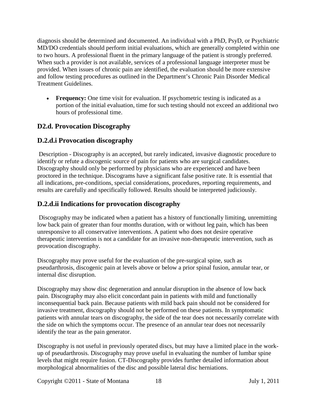diagnosis should be determined and documented. An individual with a PhD, PsyD, or Psychiatric MD/DO credentials should perform initial evaluations, which are generally completed within one to two hours. A professional fluent in the primary language of the patient is strongly preferred. When such a provider is not available, services of a professional language interpreter must be provided. When issues of chronic pain are identified, the evaluation should be more extensive and follow testing procedures as outlined in the Department's Chronic Pain Disorder Medical Treatment Guidelines.

• **Frequency:** One time visit for evaluation. If psychometric testing is indicated as a portion of the initial evaluation, time for such testing should not exceed an additional two hours of professional time.

## <span id="page-17-0"></span>**D2.d. Provocation Discography**

## **D.2.d.i Provocation discography**

Description - Discography is an accepted, but rarely indicated, invasive diagnostic procedure to identify or refute a discogenic source of pain for patients who are surgical candidates. Discography should only be performed by physicians who are experienced and have been proctored in the technique. Discograms have a significant false positive rate. It is essential that all indications, pre-conditions, special considerations, procedures, reporting requirements, and results are carefully and specifically followed. Results should be interpreted judiciously.

#### **D.2.d.ii Indications for provocation discography**

Discography may be indicated when a patient has a history of functionally limiting, unremitting low back pain of greater than four months duration, with or without leg pain, which has been unresponsive to all conservative interventions. A patient who does not desire operative therapeutic intervention is not a candidate for an invasive non-therapeutic intervention, such as provocation discography.

Discography may prove useful for the evaluation of the pre-surgical spine, such as pseudarthrosis, discogenic pain at levels above or below a prior spinal fusion, annular tear, or internal disc disruption.

Discography may show disc degeneration and annular disruption in the absence of low back pain. Discography may also elicit concordant pain in patients with mild and functionally inconsequential back pain. Because patients with mild back pain should not be considered for invasive treatment, discography should not be performed on these patients. In symptomatic patients with annular tears on discography, the side of the tear does not necessarily correlate with the side on which the symptoms occur. The presence of an annular tear does not necessarily identify the tear as the pain generator.

Discography is not useful in previously operated discs, but may have a limited place in the workup of pseudarthrosis. Discography may prove useful in evaluating the number of lumbar spine levels that might require fusion. CT-Discography provides further detailed information about morphological abnormalities of the disc and possible lateral disc herniations.

Copyright ©2011 - State of Montana 18 July 1, 2011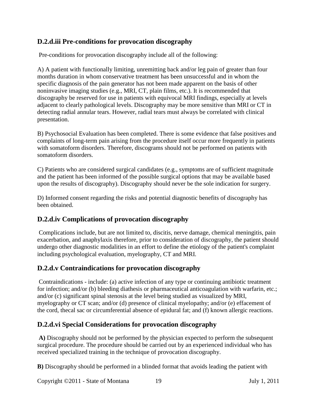## **D.2.d.iii Pre-conditions for provocation discography**

Pre-conditions for provocation discography include all of the following:

A) A patient with functionally limiting, unremitting back and/or leg pain of greater than four months duration in whom conservative treatment has been unsuccessful and in whom the specific diagnosis of the pain generator has not been made apparent on the basis of other noninvasive imaging studies (e.g., MRI, CT, plain films, etc.). It is recommended that discography be reserved for use in patients with equivocal MRI findings, especially at levels adjacent to clearly pathological levels. Discography may be more sensitive than MRI or CT in detecting radial annular tears. However, radial tears must always be correlated with clinical presentation.

B) Psychosocial Evaluation has been completed. There is some evidence that false positives and complaints of long-term pain arising from the procedure itself occur more frequently in patients with somatoform disorders. Therefore, discograms should not be performed on patients with somatoform disorders.

C) Patients who are considered surgical candidates (e.g., symptoms are of sufficient magnitude and the patient has been informed of the possible surgical options that may be available based upon the results of discography). Discography should never be the sole indication for surgery.

D) Informed consent regarding the risks and potential diagnostic benefits of discography has been obtained.

## **D.2.d.iv Complications of provocation discography**

Complications include, but are not limited to, discitis, nerve damage, chemical meningitis, pain exacerbation, and anaphylaxis therefore, prior to consideration of discography, the patient should undergo other diagnostic modalities in an effort to define the etiology of the patient's complaint including psychological evaluation, myelography, CT and MRI.

## **D.2.d.v Contraindications for provocation discography**

Contraindications - include: (a) active infection of any type or continuing antibiotic treatment for infection; and/or (b) bleeding diathesis or pharmaceutical anticoagulation with warfarin, etc.; and/or (c) significant spinal stenosis at the level being studied as visualized by MRI, myelography or CT scan; and/or (d) presence of clinical myelopathy; and/or (e) effacement of the cord, thecal sac or circumferential absence of epidural fat; and (f) known allergic reactions.

## **D.2.d.vi Special Considerations for provocation discography**

**A)** Discography should not be performed by the physician expected to perform the subsequent surgical procedure. The procedure should be carried out by an experienced individual who has received specialized training in the technique of provocation discography.

**B)** Discography should be performed in a blinded format that avoids leading the patient with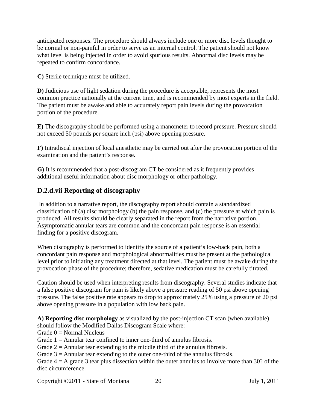anticipated responses. The procedure should always include one or more disc levels thought to be normal or non-painful in order to serve as an internal control. The patient should not know what level is being injected in order to avoid spurious results. Abnormal disc levels may be repeated to confirm concordance.

**C)** Sterile technique must be utilized.

**D)** Judicious use of light sedation during the procedure is acceptable, represents the most common practice nationally at the current time, and is recommended by most experts in the field. The patient must be awake and able to accurately report pain levels during the provocation portion of the procedure.

**E)** The discography should be performed using a manometer to record pressure. Pressure should not exceed 50 pounds per square inch (psi) above opening pressure.

**F)** Intradiscal injection of local anesthetic may be carried out after the provocation portion of the examination and the patient's response.

**G)** It is recommended that a post-discogram CT be considered as it frequently provides additional useful information about disc morphology or other pathology.

## **D.2.d.vii Reporting of discography**

In addition to a narrative report, the discography report should contain a standardized classification of (a) disc morphology (b) the pain response, and (c) the pressure at which pain is produced. All results should be clearly separated in the report from the narrative portion. Asymptomatic annular tears are common and the concordant pain response is an essential finding for a positive discogram.

When discography is performed to identify the source of a patient's low-back pain, both a concordant pain response and morphological abnormalities must be present at the pathological level prior to initiating any treatment directed at that level. The patient must be awake during the provocation phase of the procedure; therefore, sedative medication must be carefully titrated.

Caution should be used when interpreting results from discography. Several studies indicate that a false positive discogram for pain is likely above a pressure reading of 50 psi above opening pressure. The false positive rate appears to drop to approximately 25% using a pressure of 20 psi above opening pressure in a population with low back pain.

**A) Reporting disc morphology** as visualized by the post-injection CT scan (when available) should follow the Modified Dallas Discogram Scale where:

Grade  $0 = Normal$  Nucleus

Grade  $1 =$  Annular tear confined to inner one-third of annulus fibrosis.

Grade  $2 =$  Annular tear extending to the middle third of the annulus fibrosis.

Grade  $3 =$  Annular tear extending to the outer one-third of the annulus fibrosis.

Grade  $4 = A$  grade 3 tear plus dissection within the outer annulus to involve more than 30? of the disc circumference.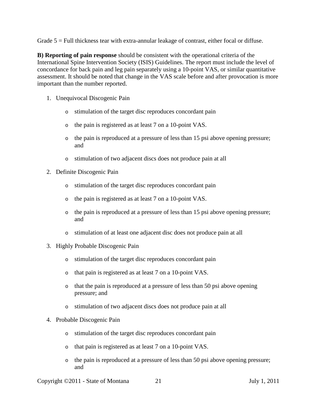Grade  $5 =$  Full thickness tear with extra-annular leakage of contrast, either focal or diffuse.

**B) Reporting of pain response** should be consistent with the operational criteria of the International Spine Intervention Society (ISIS) Guidelines. The report must include the level of concordance for back pain and leg pain separately using a 10-point VAS, or similar quantitative assessment. It should be noted that change in the VAS scale before and after provocation is more important than the number reported.

- 1. Unequivocal Discogenic Pain
	- o stimulation of the target disc reproduces concordant pain
	- o the pain is registered as at least 7 on a 10-point VAS.
	- o the pain is reproduced at a pressure of less than 15 psi above opening pressure; and
	- o stimulation of two adjacent discs does not produce pain at all
- 2. Definite Discogenic Pain
	- o stimulation of the target disc reproduces concordant pain
	- o the pain is registered as at least 7 on a 10-point VAS.
	- o the pain is reproduced at a pressure of less than 15 psi above opening pressure; and
	- o stimulation of at least one adjacent disc does not produce pain at all
- 3. Highly Probable Discogenic Pain
	- o stimulation of the target disc reproduces concordant pain
	- o that pain is registered as at least 7 on a 10-point VAS.
	- o that the pain is reproduced at a pressure of less than 50 psi above opening pressure; and
	- o stimulation of two adjacent discs does not produce pain at all
- 4. Probable Discogenic Pain
	- o stimulation of the target disc reproduces concordant pain
	- o that pain is registered as at least 7 on a 10-point VAS.
	- o the pain is reproduced at a pressure of less than 50 psi above opening pressure; and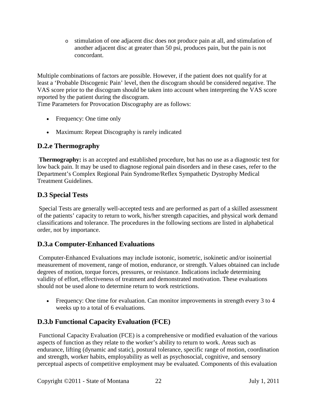o stimulation of one adjacent disc does not produce pain at all, and stimulation of another adjacent disc at greater than 50 psi, produces pain, but the pain is not concordant.

Multiple combinations of factors are possible. However, if the patient does not qualify for at least a 'Probable Discogenic Pain' level, then the discogram should be considered negative. The VAS score prior to the discogram should be taken into account when interpreting the VAS score reported by the patient during the discogram.

Time Parameters for Provocation Discography are as follows:

- Frequency: One time only
- <span id="page-21-0"></span>• Maximum: Repeat Discography is rarely indicated

# **D.2.e Thermography**

**Thermography:** is an accepted and established procedure, but has no use as a diagnostic test for low back pain. It may be used to diagnose regional pain disorders and in these cases, refer to the Department's Complex Regional Pain Syndrome/Reflex Sympathetic Dystrophy Medical Treatment Guidelines.

# <span id="page-21-1"></span>**D.3 Special Tests**

Special Tests are generally well-accepted tests and are performed as part of a skilled assessment of the patients' capacity to return to work, his/her strength capacities, and physical work demand classifications and tolerance. The procedures in the following sections are listed in alphabetical order, not by importance.

## **D.3.a Computer-Enhanced Evaluations**

Computer-Enhanced Evaluations may include isotonic, isometric, isokinetic and/or isoinertial measurement of movement, range of motion, endurance, or strength. Values obtained can include degrees of motion, torque forces, pressures, or resistance. Indications include determining validity of effort, effectiveness of treatment and demonstrated motivation. These evaluations should not be used alone to determine return to work restrictions.

• Frequency: One time for evaluation. Can monitor improvements in strength every 3 to 4 weeks up to a total of 6 evaluations.

# **D.3.b Functional Capacity Evaluation (FCE)**

Functional Capacity Evaluation (FCE) is a comprehensive or modified evaluation of the various aspects of function as they relate to the worker's ability to return to work. Areas such as endurance, lifting (dynamic and static), postural tolerance, specific range of motion, coordination and strength, worker habits, employability as well as psychosocial, cognitive, and sensory perceptual aspects of competitive employment may be evaluated. Components of this evaluation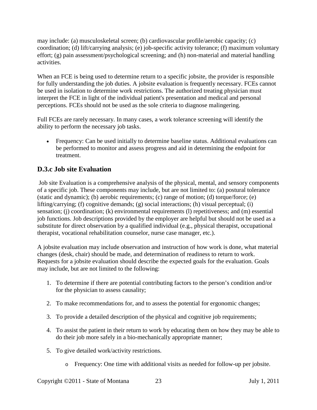may include: (a) musculoskeletal screen; (b) cardiovascular profile/aerobic capacity; (c) coordination; (d) lift/carrying analysis; (e) job-specific activity tolerance; (f) maximum voluntary effort; (g) pain assessment/psychological screening; and (h) non-material and material handling activities.

When an FCE is being used to determine return to a specific jobsite, the provider is responsible for fully understanding the job duties. A jobsite evaluation is frequently necessary. FCEs cannot be used in isolation to determine work restrictions. The authorized treating physician must interpret the FCE in light of the individual patient's presentation and medical and personal perceptions. FCEs should not be used as the sole criteria to diagnose malingering.

Full FCEs are rarely necessary. In many cases, a work tolerance screening will identify the ability to perform the necessary job tasks.

• Frequency: Can be used initially to determine baseline status. Additional evaluations can be performed to monitor and assess progress and aid in determining the endpoint for treatment.

## **D.3.c Job site Evaluation**

Job site Evaluation is a comprehensive analysis of the physical, mental, and sensory components of a specific job. These components may include, but are not limited to: (a) postural tolerance (static and dynamic); (b) aerobic requirements; (c) range of motion; (d) torque/force; (e) lifting/carrying; (f) cognitive demands; (g) social interactions; (h) visual perceptual; (i) sensation; (i) coordination; (k) environmental requirements (l) repetitiveness; and (m) essential job functions. Job descriptions provided by the employer are helpful but should not be used as a substitute for direct observation by a qualified individual (e.g., physical therapist, occupational therapist, vocational rehabilitation counselor, nurse case manager, etc.).

A jobsite evaluation may include observation and instruction of how work is done, what material changes (desk, chair) should be made, and determination of readiness to return to work. Requests for a jobsite evaluation should describe the expected goals for the evaluation. Goals may include, but are not limited to the following:

- 1. To determine if there are potential contributing factors to the person's condition and/or for the physician to assess causality;
- 2. To make recommendations for, and to assess the potential for ergonomic changes;
- 3. To provide a detailed description of the physical and cognitive job requirements;
- 4. To assist the patient in their return to work by educating them on how they may be able to do their job more safely in a bio-mechanically appropriate manner;
- 5. To give detailed work/activity restrictions.
	- o Frequency: One time with additional visits as needed for follow-up per jobsite.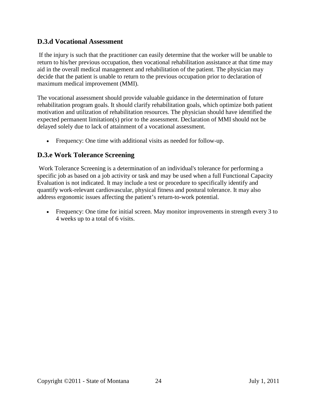#### **D.3.d Vocational Assessment**

If the injury is such that the practitioner can easily determine that the worker will be unable to return to his/her previous occupation, then vocational rehabilitation assistance at that time may aid in the overall medical management and rehabilitation of the patient. The physician may decide that the patient is unable to return to the previous occupation prior to declaration of maximum medical improvement (MMI).

The vocational assessment should provide valuable guidance in the determination of future rehabilitation program goals. It should clarify rehabilitation goals, which optimize both patient motivation and utilization of rehabilitation resources. The physician should have identified the expected permanent limitation(s) prior to the assessment. Declaration of MMI should not be delayed solely due to lack of attainment of a vocational assessment.

• Frequency: One time with additional visits as needed for follow-up.

#### **D.3.e Work Tolerance Screening**

Work Tolerance Screening is a determination of an individual's tolerance for performing a specific job as based on a job activity or task and may be used when a full Functional Capacity Evaluation is not indicated. It may include a test or procedure to specifically identify and quantify work-relevant cardiovascular, physical fitness and postural tolerance. It may also address ergonomic issues affecting the patient's return-to-work potential.

• Frequency: One time for initial screen. May monitor improvements in strength every 3 to 4 weeks up to a total of 6 visits.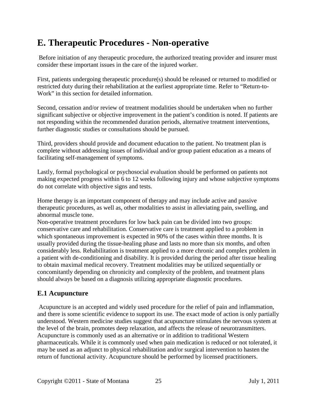# <span id="page-24-0"></span>**E. Therapeutic Procedures - Non-operative**

Before initiation of any therapeutic procedure, the authorized treating provider and insurer must consider these important issues in the care of the injured worker.

First, patients undergoing therapeutic procedure(s) should be released or returned to modified or restricted duty during their rehabilitation at the earliest appropriate time. Refer to "Return-to-Work" in this section for detailed information.

Second, cessation and/or review of treatment modalities should be undertaken when no further significant subjective or objective improvement in the patient's condition is noted. If patients are not responding within the recommended duration periods, alternative treatment interventions, further diagnostic studies or consultations should be pursued.

Third, providers should provide and document education to the patient. No treatment plan is complete without addressing issues of individual and/or group patient education as a means of facilitating self-management of symptoms.

Lastly, formal psychological or psychosocial evaluation should be performed on patients not making expected progress within 6 to 12 weeks following injury and whose subjective symptoms do not correlate with objective signs and tests.

Home therapy is an important component of therapy and may include active and passive therapeutic procedures, as well as, other modalities to assist in alleviating pain, swelling, and abnormal muscle tone.

Non-operative treatment procedures for low back pain can be divided into two groups: conservative care and rehabilitation. Conservative care is treatment applied to a problem in which spontaneous improvement is expected in 90% of the cases within three months. It is usually provided during the tissue-healing phase and lasts no more than six months, and often considerably less. Rehabilitation is treatment applied to a more chronic and complex problem in a patient with de-conditioning and disability. It is provided during the period after tissue healing to obtain maximal medical recovery. Treatment modalities may be utilized sequentially or concomitantly depending on chronicity and complexity of the problem, and treatment plans should always be based on a diagnosis utilizing appropriate diagnostic procedures.

#### <span id="page-24-1"></span>**E.1 Acupuncture**

Acupuncture is an accepted and widely used procedure for the relief of pain and inflammation, and there is some scientific evidence to support its use. The exact mode of action is only partially understood. Western medicine studies suggest that acupuncture stimulates the nervous system at the level of the brain, promotes deep relaxation, and affects the release of neurotransmitters. Acupuncture is commonly used as an alternative or in addition to traditional Western pharmaceuticals. While it is commonly used when pain medication is reduced or not tolerated, it may be used as an adjunct to physical rehabilitation and/or surgical intervention to hasten the return of functional activity. Acupuncture should be performed by licensed practitioners.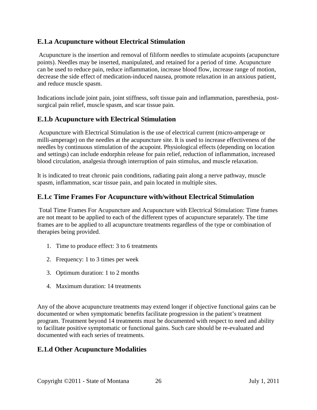#### **E.1.a Acupuncture without Electrical Stimulation**

Acupuncture is the insertion and removal of filiform needles to stimulate acupoints (acupuncture points). Needles may be inserted, manipulated, and retained for a period of time. Acupuncture can be used to reduce pain, reduce inflammation, increase blood flow, increase range of motion, decrease the side effect of medication-induced nausea, promote relaxation in an anxious patient, and reduce muscle spasm.

Indications include joint pain, joint stiffness, soft tissue pain and inflammation, paresthesia, postsurgical pain relief, muscle spasm, and scar tissue pain.

#### **E.1.b Acupuncture with Electrical Stimulation**

Acupuncture with Electrical Stimulation is the use of electrical current (micro-amperage or milli-amperage) on the needles at the acupuncture site. It is used to increase effectiveness of the needles by continuous stimulation of the acupoint. Physiological effects (depending on location and settings) can include endorphin release for pain relief, reduction of inflammation, increased blood circulation, analgesia through interruption of pain stimulus, and muscle relaxation.

It is indicated to treat chronic pain conditions, radiating pain along a nerve pathway, muscle spasm, inflammation, scar tissue pain, and pain located in multiple sites.

#### **E.1.c Time Frames For Acupuncture with/without Electrical Stimulation**

Total Time Frames For Acupuncture and Acupuncture with Electrical Stimulation: Time frames are not meant to be applied to each of the different types of acupuncture separately. The time frames are to be applied to all acupuncture treatments regardless of the type or combination of therapies being provided.

- 1. Time to produce effect: 3 to 6 treatments
- 2. Frequency: 1 to 3 times per week
- 3. Optimum duration: 1 to 2 months
- 4. Maximum duration: 14 treatments

Any of the above acupuncture treatments may extend longer if objective functional gains can be documented or when symptomatic benefits facilitate progression in the patient's treatment program. Treatment beyond 14 treatments must be documented with respect to need and ability to facilitate positive symptomatic or functional gains. Such care should be re-evaluated and documented with each series of treatments.

#### **E.1.d Other Acupuncture Modalities**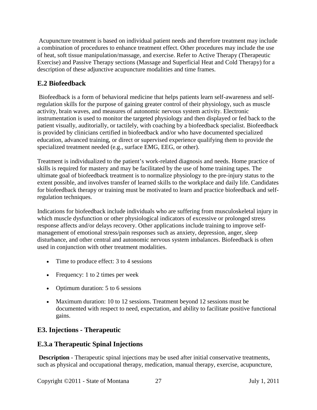Acupuncture treatment is based on individual patient needs and therefore treatment may include a combination of procedures to enhance treatment effect. Other procedures may include the use of heat, soft tissue manipulation/massage, and exercise. Refer to Active Therapy (Therapeutic Exercise) and Passive Therapy sections (Massage and Superficial Heat and Cold Therapy) for a description of these adjunctive acupuncture modalities and time frames.

## <span id="page-26-0"></span>**E.2 Biofeedback**

Biofeedback is a form of behavioral medicine that helps patients learn self-awareness and selfregulation skills for the purpose of gaining greater control of their physiology, such as muscle activity, brain waves, and measures of autonomic nervous system activity. Electronic instrumentation is used to monitor the targeted physiology and then displayed or fed back to the patient visually, auditorially, or tactilely, with coaching by a biofeedback specialist. Biofeedback is provided by clinicians certified in biofeedback and/or who have documented specialized education, advanced training, or direct or supervised experience qualifying them to provide the specialized treatment needed (e.g., surface EMG, EEG, or other).

Treatment is individualized to the patient's work-related diagnosis and needs. Home practice of skills is required for mastery and may be facilitated by the use of home training tapes. The ultimate goal of biofeedback treatment is to normalize physiology to the pre-injury status to the extent possible, and involves transfer of learned skills to the workplace and daily life. Candidates for biofeedback therapy or training must be motivated to learn and practice biofeedback and selfregulation techniques.

Indications for biofeedback include individuals who are suffering from musculoskeletal injury in which muscle dysfunction or other physiological indicators of excessive or prolonged stress response affects and/or delays recovery. Other applications include training to improve selfmanagement of emotional stress/pain responses such as anxiety, depression, anger, sleep disturbance, and other central and autonomic nervous system imbalances. Biofeedback is often used in conjunction with other treatment modalities.

- Time to produce effect: 3 to 4 sessions
- Frequency: 1 to 2 times per week
- Optimum duration: 5 to 6 sessions
- Maximum duration: 10 to 12 sessions. Treatment beyond 12 sessions must be documented with respect to need, expectation, and ability to facilitate positive functional gains.

## <span id="page-26-1"></span>**E3. Injections - Therapeutic**

#### **E.3.a Therapeutic Spinal Injections**

**Description** - Therapeutic spinal injections may be used after initial conservative treatments, such as physical and occupational therapy, medication, manual therapy, exercise, acupuncture,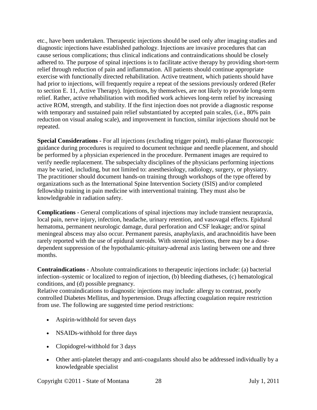etc., have been undertaken. Therapeutic injections should be used only after imaging studies and diagnostic injections have established pathology. Injections are invasive procedures that can cause serious complications; thus clinical indications and contraindications should be closely adhered to. The purpose of spinal injections is to facilitate active therapy by providing short-term relief through reduction of pain and inflammation. All patients should continue appropriate exercise with functionally directed rehabilitation. Active treatment, which patients should have had prior to injections, will frequently require a repeat of the sessions previously ordered (Refer to section E. 11, Active Therapy). Injections, by themselves, are not likely to provide long-term relief. Rather, active rehabilitation with modified work achieves long-term relief by increasing active ROM, strength, and stability. If the first injection does not provide a diagnostic response with temporary and sustained pain relief substantiated by accepted pain scales, (i.e., 80% pain reduction on visual analog scale), and improvement in function, similar injections should not be repeated.

**Special Considerations -** For all injections (excluding trigger point), multi-planar fluoroscopic guidance during procedures is required to document technique and needle placement, and should be performed by a physician experienced in the procedure. Permanent images are required to verify needle replacement. The subspecialty disciplines of the physicians performing injections may be varied, including, but not limited to: anesthesiology, radiology, surgery, or physiatry. The practitioner should document hands-on training through workshops of the type offered by organizations such as the International Spine Intervention Society (ISIS) and/or completed fellowship training in pain medicine with interventional training. They must also be knowledgeable in radiation safety.

**Complications** - General complications of spinal injections may include transient neurapraxia, local pain, nerve injury, infection, headache, urinary retention, and vasovagal effects. Epidural hematoma, permanent neurologic damage, dural perforation and CSF leakage; and/or spinal meningeal abscess may also occur. Permanent paresis, anaphylaxis, and arachnoiditis have been rarely reported with the use of epidural steroids. With steroid injections, there may be a dosedependent suppression of the hypothalamic-pituitary-adrenal axis lasting between one and three months.

**Contraindications -** Absolute contraindications to therapeutic injections include: (a) bacterial infection–systemic or localized to region of injection, (b) bleeding diatheses, (c) hematological conditions, and (d) possible pregnancy.

Relative contraindications to diagnostic injections may include: allergy to contrast, poorly controlled Diabetes Mellitus, and hypertension. Drugs affecting coagulation require restriction from use. The following are suggested time period restrictions:

- Aspirin-withhold for seven days
- NSAIDs-withhold for three days
- Clopidogrel-withhold for 3 days
- Other anti-platelet therapy and anti-coagulants should also be addressed individually by a knowledgeable specialist

Copyright ©2011 - State of Montana 28 July 1, 2011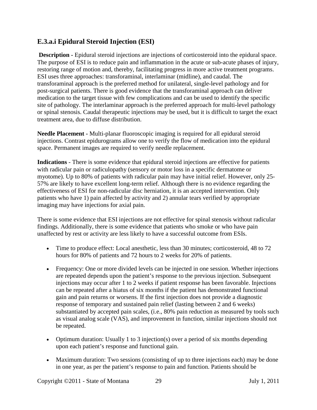## **E.3.a.i Epidural Steroid Injection (ESI)**

**Description -** Epidural steroid injections are injections of corticosteroid into the epidural space. The purpose of ESI is to reduce pain and inflammation in the acute or sub-acute phases of injury, restoring range of motion and, thereby, facilitating progress in more active treatment programs. ESI uses three approaches: transforaminal, interlaminar (midline), and caudal. The transforaminal approach is the preferred method for unilateral, single-level pathology and for post-surgical patients. There is good evidence that the transforaminal approach can deliver medication to the target tissue with few complications and can be used to identify the specific site of pathology. The interlaminar approach is the preferred approach for multi-level pathology or spinal stenosis. Caudal therapeutic injections may be used, but it is difficult to target the exact treatment area, due to diffuse distribution.

**Needle Placement -** Multi-planar fluoroscopic imaging is required for all epidural steroid injections. Contrast epidurograms allow one to verify the flow of medication into the epidural space. Permanent images are required to verify needle replacement.

**Indications** - There is some evidence that epidural steroid injections are effective for patients with radicular pain or radiculopathy (sensory or motor loss in a specific dermatome or myotome). Up to 80% of patients with radicular pain may have initial relief. However, only 25- 57% are likely to have excellent long-term relief. Although there is no evidence regarding the effectiveness of ESI for non-radicular disc herniation, it is an accepted intervention. Only patients who have 1) pain affected by activity and 2) annular tears verified by appropriate imaging may have injections for axial pain.

There is some evidence that ESI injections are not effective for spinal stenosis without radicular findings. Additionally, there is some evidence that patients who smoke or who have pain unaffected by rest or activity are less likely to have a successful outcome from ESIs.

- Time to produce effect: Local anesthetic, less than 30 minutes; corticosteroid, 48 to 72 hours for 80% of patients and 72 hours to 2 weeks for 20% of patients.
- Frequency: One or more divided levels can be injected in one session. Whether injections are repeated depends upon the patient's response to the previous injection. Subsequent injections may occur after 1 to 2 weeks if patient response has been favorable. Injections can be repeated after a hiatus of six months if the patient has demonstrated functional gain and pain returns or worsens. If the first injection does not provide a diagnostic response of temporary and sustained pain relief (lasting between 2 and 6 weeks) substantiated by accepted pain scales, (i.e., 80% pain reduction as measured by tools such as visual analog scale (VAS), and improvement in function, similar injections should not be repeated.
- Optimum duration: Usually 1 to 3 injection(s) over a period of six months depending upon each patient's response and functional gain.
- Maximum duration: Two sessions (consisting of up to three injections each) may be done in one year, as per the patient's response to pain and function. Patients should be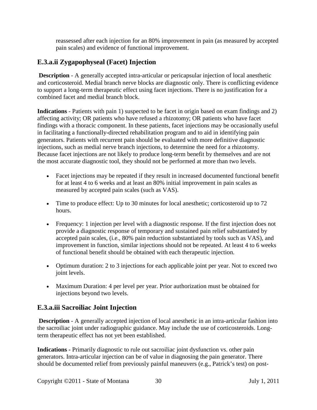reassessed after each injection for an 80% improvement in pain (as measured by accepted pain scales) and evidence of functional improvement.

## **E.3.a.ii Zygapophyseal (Facet) Injection**

**Description** - A generally accepted intra-articular or pericapsular injection of local anesthetic and corticosteroid. Medial branch nerve blocks are diagnostic only. There is conflicting evidence to support a long-term therapeutic effect using facet injections. There is no justification for a combined facet and medial branch block.

**Indications** - Patients with pain 1) suspected to be facet in origin based on exam findings and 2) affecting activity; OR patients who have refused a rhizotomy; OR patients who have facet findings with a thoracic component. In these patients, facet injections may be occasionally useful in facilitating a functionally-directed rehabilitation program and to aid in identifying pain generators. Patients with recurrent pain should be evaluated with more definitive diagnostic injections, such as medial nerve branch injections, to determine the need for a rhizotomy. Because facet injections are not likely to produce long-term benefit by themselves and are not the most accurate diagnostic tool, they should not be performed at more than two levels.

- Facet injections may be repeated if they result in increased documented functional benefit for at least 4 to 6 weeks and at least an 80% initial improvement in pain scales as measured by accepted pain scales (such as VAS).
- Time to produce effect: Up to 30 minutes for local anesthetic; corticosteroid up to 72 hours.
- Frequency: 1 injection per level with a diagnostic response. If the first injection does not provide a diagnostic response of temporary and sustained pain relief substantiated by accepted pain scales, (i.e., 80% pain reduction substantiated by tools such as VAS), and improvement in function, similar injections should not be repeated. At least 4 to 6 weeks of functional benefit should be obtained with each therapeutic injection.
- Optimum duration: 2 to 3 injections for each applicable joint per year. Not to exceed two joint levels.
- Maximum Duration: 4 per level per year. Prior authorization must be obtained for injections beyond two levels.

#### **E.3.a.iii Sacroiliac Joint Injection**

**Description** - A generally accepted injection of local anesthetic in an intra-articular fashion into the sacroiliac joint under radiographic guidance. May include the use of corticosteroids. Longterm therapeutic effect has not yet been established.

**Indications -** Primarily diagnostic to rule out sacroiliac joint dysfunction vs. other pain generators. Intra-articular injection can be of value in diagnosing the pain generator. There should be documented relief from previously painful maneuvers (e.g., Patrick's test) on post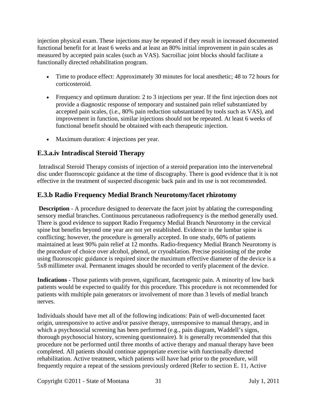injection physical exam. These injections may be repeated if they result in increased documented functional benefit for at least 6 weeks and at least an 80% initial improvement in pain scales as measured by accepted pain scales (such as VAS). Sacroiliac joint blocks should facilitate a functionally directed rehabilitation program.

- Time to produce effect: Approximately 30 minutes for local anesthetic; 48 to 72 hours for corticosteroid.
- Frequency and optimum duration: 2 to 3 injections per year. If the first injection does not provide a diagnostic response of temporary and sustained pain relief substantiated by accepted pain scales, (i.e., 80% pain reduction substantiated by tools such as VAS), and improvement in function, similar injections should not be repeated. At least 6 weeks of functional benefit should be obtained with each therapeutic injection.
- Maximum duration: 4 injections per year.

## **E.3.a.iv Intradiscal Steroid Therapy**

Intradiscal Steroid Therapy consists of injection of a steroid preparation into the intervertebral disc under fluoroscopic guidance at the time of discography. There is good evidence that it is not effective in the treatment of suspected discogenic back pain and its use is not recommended.

## **E.3.b Radio Frequency Medial Branch Neurotomy/facet rhizotomy**

**Description** - A procedure designed to denervate the facet joint by ablating the corresponding sensory medial branches. Continuous percutaneous radiofrequency is the method generally used. There is good evidence to support Radio Frequency Medial Branch Neurotomy in the cervical spine but benefits beyond one year are not yet established. Evidence in the lumbar spine is conflicting; however, the procedure is generally accepted. In one study, 60% of patients maintained at least 90% pain relief at 12 months. Radio-frequency Medial Branch Neurotomy is the procedure of choice over alcohol, phenol, or cryoablation. Precise positioning of the probe using fluoroscopic guidance is required since the maximum effective diameter of the device is a 5x8 millimeter oval. Permanent images should be recorded to verify placement of the device.

**Indications** - Those patients with proven, significant, facetogenic pain. A minority of low back patients would be expected to qualify for this procedure. This procedure is not recommended for patients with multiple pain generators or involvement of more than 3 levels of medial branch nerves.

Individuals should have met all of the following indications: Pain of well-documented facet origin, unresponsive to active and/or passive therapy, unresponsive to manual therapy, and in which a psychosocial screening has been performed (e.g., pain diagram, Waddell's signs, thorough psychosocial history, screening questionnaire). It is generally recommended that this procedure not be performed until three months of active therapy and manual therapy have been completed. All patients should continue appropriate exercise with functionally directed rehabilitation. Active treatment, which patients will have had prior to the procedure, will frequently require a repeat of the sessions previously ordered (Refer to section E. 11, Active

Copyright ©2011 - State of Montana 31 July 1, 2011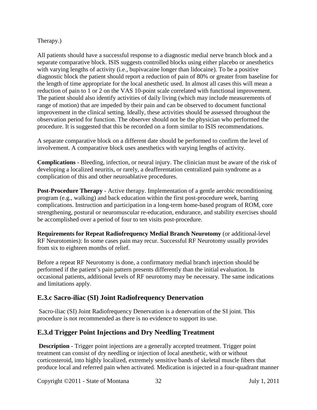#### Therapy.)

All patients should have a successful response to a diagnostic medial nerve branch block and a separate comparative block. ISIS suggests controlled blocks using either placebo or anesthetics with varying lengths of activity (i.e., bupivacaine longer than lidocaine). To be a positive diagnostic block the patient should report a reduction of pain of 80% or greater from baseline for the length of time appropriate for the local anesthetic used. In almost all cases this will mean a reduction of pain to 1 or 2 on the VAS 10-point scale correlated with functional improvement. The patient should also identify activities of daily living (which may include measurements of range of motion) that are impeded by their pain and can be observed to document functional improvement in the clinical setting. Ideally, these activities should be assessed throughout the observation period for function. The observer should not be the physician who performed the procedure. It is suggested that this be recorded on a form similar to ISIS recommendations.

A separate comparative block on a different date should be performed to confirm the level of involvement. A comparative block uses anesthetics with varying lengths of activity.

**Complications** - Bleeding, infection, or neural injury. The clinician must be aware of the risk of developing a localized neuritis, or rarely, a deafferentation centralized pain syndrome as a complication of this and other neuroablative procedures.

**Post-Procedure Therapy** - Active therapy. Implementation of a gentle aerobic reconditioning program (e.g., walking) and back education within the first post-procedure week, barring complications. Instruction and participation in a long-term home-based program of ROM, core strengthening, postural or neuromuscular re-education, endurance, and stability exercises should be accomplished over a period of four to ten visits post-procedure.

**Requirements for Repeat Radiofrequency Medial Branch Neurotomy** (or additional-level RF Neurotomies): In some cases pain may recur. Successful RF Neurotomy usually provides from six to eighteen months of relief.

Before a repeat RF Neurotomy is done, a confirmatory medial branch injection should be performed if the patient's pain pattern presents differently than the initial evaluation. In occasional patients, additional levels of RF neurotomy may be necessary. The same indications and limitations apply.

#### **E.3.c Sacro-iliac (SI) Joint Radiofrequency Denervation**

Sacro-iliac (SI) Joint Radiofrequency Denervation is a denervation of the SI joint. This procedure is not recommended as there is no evidence to support its use.

## **E.3.d Trigger Point Injections and Dry Needling Treatment**

**Description** - Trigger point injections are a generally accepted treatment. Trigger point treatment can consist of dry needling or injection of local anesthetic, with or without corticosteroid, into highly localized, extremely sensitive bands of skeletal muscle fibers that produce local and referred pain when activated. Medication is injected in a four-quadrant manner

Copyright ©2011 - State of Montana 32 July 1, 2011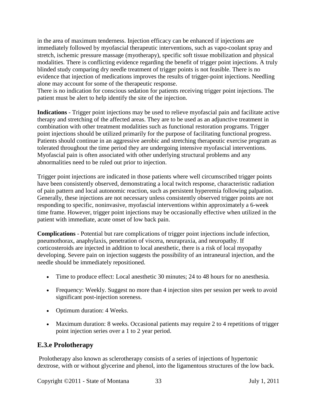in the area of maximum tenderness. Injection efficacy can be enhanced if injections are immediately followed by myofascial therapeutic interventions, such as vapo-coolant spray and stretch, ischemic pressure massage (myotherapy), specific soft tissue mobilization and physical modalities. There is conflicting evidence regarding the benefit of trigger point injections. A truly blinded study comparing dry needle treatment of trigger points is not feasible. There is no evidence that injection of medications improves the results of trigger-point injections. Needling alone may account for some of the therapeutic response.

There is no indication for conscious sedation for patients receiving trigger point injections. The patient must be alert to help identify the site of the injection.

**Indications** - Trigger point injections may be used to relieve myofascial pain and facilitate active therapy and stretching of the affected areas. They are to be used as an adjunctive treatment in combination with other treatment modalities such as functional restoration programs. Trigger point injections should be utilized primarily for the purpose of facilitating functional progress. Patients should continue in an aggressive aerobic and stretching therapeutic exercise program as tolerated throughout the time period they are undergoing intensive myofascial interventions. Myofascial pain is often associated with other underlying structural problems and any abnormalities need to be ruled out prior to injection.

Trigger point injections are indicated in those patients where well circumscribed trigger points have been consistently observed, demonstrating a local twitch response, characteristic radiation of pain pattern and local autonomic reaction, such as persistent hyperemia following palpation. Generally, these injections are not necessary unless consistently observed trigger points are not responding to specific, noninvasive, myofascial interventions within approximately a 6-week time frame. However, trigger point injections may be occasionally effective when utilized in the patient with immediate, acute onset of low back pain.

**Complications** - Potential but rare complications of trigger point injections include infection, pneumothorax, anaphylaxis, penetration of viscera, neurapraxia, and neuropathy. If corticosteroids are injected in addition to local anesthetic, there is a risk of local myopathy developing. Severe pain on injection suggests the possibility of an intraneural injection, and the needle should be immediately repositioned.

- Time to produce effect: Local anesthetic 30 minutes; 24 to 48 hours for no anesthesia.
- Frequency: Weekly. Suggest no more than 4 injection sites per session per week to avoid significant post-injection soreness.
- Optimum duration: 4 Weeks.
- Maximum duration: 8 weeks. Occasional patients may require 2 to 4 repetitions of trigger point injection series over a 1 to 2 year period.

#### **E.3.e Prolotherapy**

Prolotherapy also known as sclerotherapy consists of a series of injections of hypertonic dextrose, with or without glycerine and phenol, into the ligamentous structures of the low back.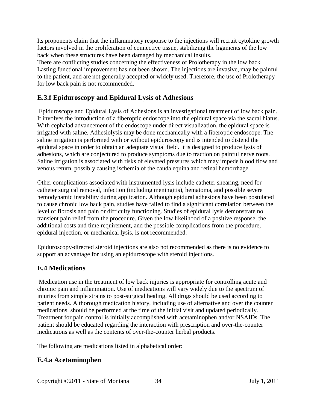Its proponents claim that the inflammatory response to the injections will recruit cytokine growth factors involved in the proliferation of connective tissue, stabilizing the ligaments of the low back when these structures have been damaged by mechanical insults.

There are conflicting studies concerning the effectiveness of Prolotherapy in the low back. Lasting functional improvement has not been shown. The injections are invasive, may be painful to the patient, and are not generally accepted or widely used. Therefore, the use of Prolotherapy for low back pain is not recommended.

## **E.3.f Epiduroscopy and Epidural Lysis of Adhesions**

Epiduroscopy and Epidural Lysis of Adhesions is an investigational treatment of low back pain. It involves the introduction of a fiberoptic endoscope into the epidural space via the sacral hiatus. With cephalad advancement of the endoscope under direct visualization, the epidural space is irrigated with saline. Adhesiolysis may be done mechanically with a fiberoptic endoscope. The saline irrigation is performed with or without epiduroscopy and is intended to distend the epidural space in order to obtain an adequate visual field. It is designed to produce lysis of adhesions, which are conjectured to produce symptoms due to traction on painful nerve roots. Saline irrigation is associated with risks of elevated pressures which may impede blood flow and venous return, possibly causing ischemia of the cauda equina and retinal hemorrhage.

Other complications associated with instrumented lysis include catheter shearing, need for catheter surgical removal, infection (including meningitis), hematoma, and possible severe hemodynamic instability during application. Although epidural adhesions have been postulated to cause chronic low back pain, studies have failed to find a significant correlation between the level of fibrosis and pain or difficulty functioning. Studies of epidural lysis demonstrate no transient pain relief from the procedure. Given the low likelihood of a positive response, the additional costs and time requirement, and the possible complications from the procedure, epidural injection, or mechanical lysis, is not recommended.

Epiduroscopy-directed steroid injections are also not recommended as there is no evidence to support an advantage for using an epiduroscope with steroid injections.

## <span id="page-33-0"></span>**E.4 Medications**

Medication use in the treatment of low back injuries is appropriate for controlling acute and chronic pain and inflammation. Use of medications will vary widely due to the spectrum of injuries from simple strains to post-surgical healing. All drugs should be used according to patient needs. A thorough medication history, including use of alternative and over the counter medications, should be performed at the time of the initial visit and updated periodically. Treatment for pain control is initially accomplished with acetaminophen and/or NSAIDs. The patient should be educated regarding the interaction with prescription and over-the-counter medications as well as the contents of over-the-counter herbal products.

The following are medications listed in alphabetical order:

#### **E.4.a Acetaminophen**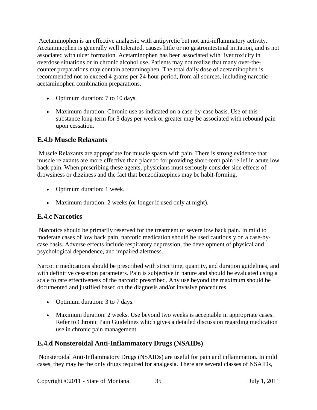Acetaminophen is an effective analgesic with antipyretic but not anti-inflammatory activity. Acetaminophen is generally well tolerated, causes little or no gastrointestinal irritation, and is not associated with ulcer formation. Acetaminophen has been associated with liver toxicity in overdose situations or in chronic alcohol use. Patients may not realize that many over-thecounter preparations may contain acetaminophen. The total daily dose of acetaminophen is recommended not to exceed 4 grams per 24-hour period, from all sources, including narcoticacetaminophen combination preparations.

- Optimum duration: 7 to 10 days.
- Maximum duration: Chronic use as indicated on a case-by-case basis. Use of this substance long-term for 3 days per week or greater may be associated with rebound pain upon cessation.

## **E.4.b Muscle Relaxants**

Muscle Relaxants are appropriate for muscle spasm with pain. There is strong evidence that muscle relaxants are more effective than placebo for providing short-term pain relief in acute low back pain. When prescribing these agents, physicians must seriously consider side effects of drowsiness or dizziness and the fact that benzodiazepines may be habit-forming.

- Optimum duration: 1 week.
- Maximum duration: 2 weeks (or longer if used only at night).

## **E.4.c Narcotics**

Narcotics should be primarily reserved for the treatment of severe low back pain. In mild to moderate cases of low back pain, narcotic medication should be used cautiously on a case-bycase basis. Adverse effects include respiratory depression, the development of physical and psychological dependence, and impaired alertness.

Narcotic medications should be prescribed with strict time, quantity, and duration guidelines, and with definitive cessation parameters. Pain is subjective in nature and should be evaluated using a scale to rate effectiveness of the narcotic prescribed. Any use beyond the maximum should be documented and justified based on the diagnosis and/or invasive procedures.

- Optimum duration: 3 to 7 days.
- Maximum duration: 2 weeks. Use beyond two weeks is acceptable in appropriate cases. Refer to Chronic Pain Guidelines which gives a detailed discussion regarding medication use in chronic pain management.

## **E.4.d Nonsteroidal Anti-Inflammatory Drugs (NSAIDs)**

Nonsteroidal Anti-Inflammatory Drugs (NSAIDs) are useful for pain and inflammation. In mild cases, they may be the only drugs required for analgesia. There are several classes of NSAIDs,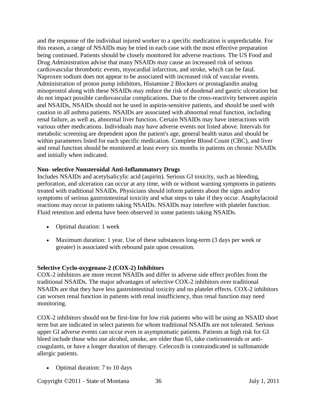and the response of the individual injured worker to a specific medication is unpredictable. For this reason, a range of NSAIDs may be tried in each case with the most effective preparation being continued. Patients should be closely monitored for adverse reactions. The US Food and Drug Administration advise that many NSAIDs may cause an increased risk of serious cardiovascular thrombotic events, myocardial infarction, and stroke, which can be fatal. Naproxen sodium does not appear to be associated with increased risk of vascular events. Administration of proton pump inhibitors, Histamine 2 Blockers or prostaglandin analog misoprostol along with these NSAIDs may reduce the risk of duodenal and gastric ulceration but do not impact possible cardiovascular complications. Due to the cross-reactivity between aspirin and NSAIDs, NSAIDs should not be used in aspirin-sensitive patients, and should be used with caution in all asthma patients. NSAIDs are associated with abnormal renal function, including renal failure, as well as, abnormal liver function. Certain NSAIDs may have interactions with various other medications. Individuals may have adverse events not listed above. Intervals for metabolic screening are dependent upon the patient's age, general health status and should be within parameters listed for each specific medication. Complete Blood Count (CBC), and liver and renal function should be monitored at least every six months in patients on chronic NSAIDs and initially when indicated.

#### **Non- selective Nonsteroidal Anti-Inflammatory Drugs**

Includes NSAIDs and acetylsalicylic acid (aspirin). Serious GI toxicity, such as bleeding, perforation, and ulceration can occur at any time, with or without warning symptoms in patients treated with traditional NSAIDs. Physicians should inform patients about the signs and/or symptoms of serious gastrointestinal toxicity and what steps to take if they occur. Anaphylactoid reactions may occur in patients taking NSAIDs. NSAIDs may interfere with platelet function. Fluid retention and edema have been observed in some patients taking NSAIDs.

- Optimal duration: 1 week
- Maximum duration: 1 year. Use of these substances long-term (3 days per week or greater) is associated with rebound pain upon cessation.

#### **Selective Cyclo-oxygenase-2 (COX-2) Inhibitors**

COX-2 inhibitors are more recent NSAIDs and differ in adverse side effect profiles from the traditional NSAIDs. The major advantages of selective COX-2 inhibitors over traditional NSAIDs are that they have less gastrointestinal toxicity and no platelet effects. COX-2 inhibitors can worsen renal function in patients with renal insufficiency, thus renal function may need monitoring.

COX-2 inhibitors should not be first-line for low risk patients who will be using an NSAID short term but are indicated in select patients for whom traditional NSAIDs are not tolerated. Serious upper GI adverse events can occur even in asymptomatic patients. Patients at high risk for GI bleed include those who use alcohol, smoke, are older than 65, take corticosteroids or anticoagulants, or have a longer duration of therapy. Celecoxib is contraindicated in sulfonamide allergic patients.

• Optimal duration: 7 to 10 days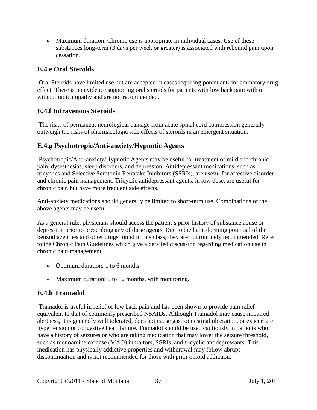• Maximum duration: Chronic use is appropriate in individual cases. Use of these substances long-term (3 days per week or greater) is associated with rebound pain upon cessation.

## **E.4.e Oral Steroids**

Oral Steroids have limited use but are accepted in cases requiring potent anti-inflammatory drug effect. There is no evidence supporting oral steroids for patients with low back pain with or without radiculopathy and are not recommended.

## **E.4.f Intravenous Steroids**

The risks of permanent neurological damage from acute spinal cord compression generally outweigh the risks of pharmacologic side effects of steroids in an emergent situation.

## **E.4.g Psychotropic/Anti-anxiety/Hypnotic Agents**

Psychotropic/Anti-anxiety/Hypnotic Agents may be useful for treatment of mild and chronic pain, dysesthesias, sleep disorders, and depression. Antidepressant medications, such as tricyclics and Selective Serotonin Reuptake Inhibitors (SSRIs), are useful for affective disorder and chronic pain management. Tricyclic antidepressant agents, in low dose, are useful for chronic pain but have more frequent side effects.

Anti-anxiety medications should generally be limited to short-term use. Combinations of the above agents may be useful.

As a general rule, physicians should access the patient's prior history of substance abuse or depression prior to prescribing any of these agents. Due to the habit-forming potential of the benzodiazepines and other drugs found in this class, they are not routinely recommended. Refer to the Chronic Pain Guidelines which give a detailed discussion regarding medication use in chronic pain management.

- Optimum duration: 1 to 6 months.
- Maximum duration: 6 to 12 months, with monitoring.

## **E.4.h Tramadol**

Tramadol is useful in relief of low back pain and has been shown to provide pain relief equivalent to that of commonly prescribed NSAIDs. Although Tramadol may cause impaired alertness, it is generally well tolerated, does not cause gastrointestinal ulceration, or exacerbate hypertension or congestive heart failure. Tramadol should be used cautiously in patients who have a history of seizures or who are taking medication that may lower the seizure threshold, such as monoamine oxidase (MAO) inhibitors, SSRIs, and tricyclic antidepressants. This medication has physically addictive properties and withdrawal may follow abrupt discontinuation and is not recommended for those with prior opioid addiction.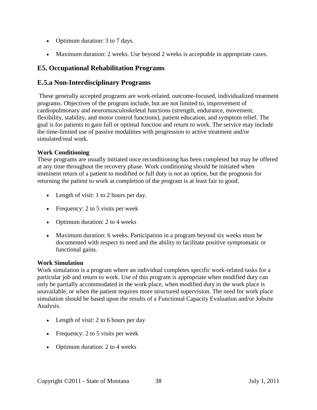- Optimum duration: 3 to 7 days.
- Maximum duration: 2 weeks. Use beyond 2 weeks is acceptable in appropriate cases.

## <span id="page-37-0"></span>**E5. Occupational Rehabilitation Programs**

#### **E.5.a Non-Interdisciplinary Programs**

These generally accepted programs are work-related, outcome-focused, individualized treatment programs. Objectives of the program include, but are not limited to, improvement of cardiopulmonary and neuromusculoskeletal functions (strength, endurance, movement, flexibility, stability, and motor control functions), patient education, and symptom relief. The goal is for patients to gain full or optimal function and return to work. The service may include the time-limited use of passive modalities with progression to active treatment and/or simulated/real work.

#### **Work Conditioning**

These programs are usually initiated once reconditioning has been completed but may be offered at any time throughout the recovery phase. Work conditioning should be initiated when imminent return of a patient to modified or full duty is not an option, but the prognosis for returning the patient to work at completion of the program is at least fair to good.

- Length of visit: 1 to 2 hours per day.
- Frequency: 2 to 5 visits per week
- Optimum duration: 2 to 4 weeks
- Maximum duration: 6 weeks. Participation in a program beyond six weeks must be documented with respect to need and the ability to facilitate positive symptomatic or functional gains.

#### **Work Simulation**

Work simulation is a program where an individual completes specific work-related tasks for a particular job and return to work. Use of this program is appropriate when modified duty can only be partially accommodated in the work place, when modified duty in the work place is unavailable, or when the patient requires more structured supervision. The need for work place simulation should be based upon the results of a Functional Capacity Evaluation and/or Jobsite Analysis.

- Length of visit: 2 to 6 hours per day
- Frequency: 2 to 5 visits per week
- Optimum duration: 2 to 4 weeks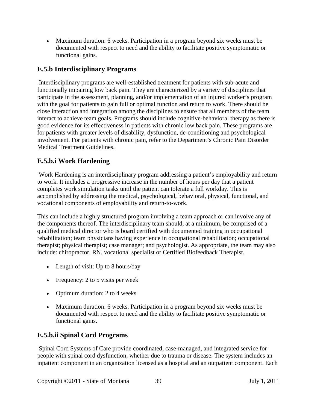• Maximum duration: 6 weeks. Participation in a program beyond six weeks must be documented with respect to need and the ability to facilitate positive symptomatic or functional gains.

## **E.5.b Interdisciplinary Programs**

Interdisciplinary programs are well-established treatment for patients with sub-acute and functionally impairing low back pain. They are characterized by a variety of disciplines that participate in the assessment, planning, and/or implementation of an injured worker's program with the goal for patients to gain full or optimal function and return to work. There should be close interaction and integration among the disciplines to ensure that all members of the team interact to achieve team goals. Programs should include cognitive-behavioral therapy as there is good evidence for its effectiveness in patients with chronic low back pain. These programs are for patients with greater levels of disability, dysfunction, de-conditioning and psychological involvement. For patients with chronic pain, refer to the Department's Chronic Pain Disorder Medical Treatment Guidelines.

## **E.5.b.i Work Hardening**

Work Hardening is an interdisciplinary program addressing a patient's employability and return to work. It includes a progressive increase in the number of hours per day that a patient completes work simulation tasks until the patient can tolerate a full workday. This is accomplished by addressing the medical, psychological, behavioral, physical, functional, and vocational components of employability and return-to-work.

This can include a highly structured program involving a team approach or can involve any of the components thereof. The interdisciplinary team should, at a minimum, be comprised of a qualified medical director who is board certified with documented training in occupational rehabilitation; team physicians having experience in occupational rehabilitation; occupational therapist; physical therapist; case manager; and psychologist. As appropriate, the team may also include: chiropractor, RN, vocational specialist or Certified Biofeedback Therapist.

- Length of visit: Up to 8 hours/day
- Frequency: 2 to 5 visits per week
- Optimum duration: 2 to 4 weeks
- Maximum duration: 6 weeks. Participation in a program beyond six weeks must be documented with respect to need and the ability to facilitate positive symptomatic or functional gains.

## **E.5.b.ii Spinal Cord Programs**

Spinal Cord Systems of Care provide coordinated, case-managed, and integrated service for people with spinal cord dysfunction, whether due to trauma or disease. The system includes an inpatient component in an organization licensed as a hospital and an outpatient component. Each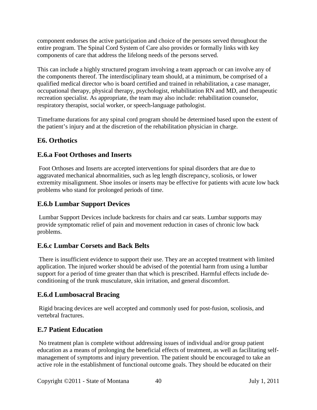component endorses the active participation and choice of the persons served throughout the entire program. The Spinal Cord System of Care also provides or formally links with key components of care that address the lifelong needs of the persons served.

This can include a highly structured program involving a team approach or can involve any of the components thereof. The interdisciplinary team should, at a minimum, be comprised of a qualified medical director who is board certified and trained in rehabilitation, a case manager, occupational therapy, physical therapy, psychologist, rehabilitation RN and MD, and therapeutic recreation specialist. As appropriate, the team may also include: rehabilitation counselor, respiratory therapist, social worker, or speech-language pathologist.

Timeframe durations for any spinal cord program should be determined based upon the extent of the patient's injury and at the discretion of the rehabilitation physician in charge.

## <span id="page-39-0"></span>**E6. Orthotics**

## **E.6.a Foot Orthoses and Inserts**

Foot Orthoses and Inserts are accepted interventions for spinal disorders that are due to aggravated mechanical abnormalities, such as leg length discrepancy, scoliosis, or lower extremity misalignment. Shoe insoles or inserts may be effective for patients with acute low back problems who stand for prolonged periods of time.

## **E.6.b Lumbar Support Devices**

Lumbar Support Devices include backrests for chairs and car seats. Lumbar supports may provide symptomatic relief of pain and movement reduction in cases of chronic low back problems.

## **E.6.c Lumbar Corsets and Back Belts**

There is insufficient evidence to support their use. They are an accepted treatment with limited application. The injured worker should be advised of the potential harm from using a lumbar support for a period of time greater than that which is prescribed. Harmful effects include deconditioning of the trunk musculature, skin irritation, and general discomfort.

## **E.6.d Lumbosacral Bracing**

Rigid bracing devices are well accepted and commonly used for post-fusion, scoliosis, and vertebral fractures.

## <span id="page-39-1"></span>**E.7 Patient Education**

No treatment plan is complete without addressing issues of individual and/or group patient education as a means of prolonging the beneficial effects of treatment, as well as facilitating selfmanagement of symptoms and injury prevention. The patient should be encouraged to take an active role in the establishment of functional outcome goals. They should be educated on their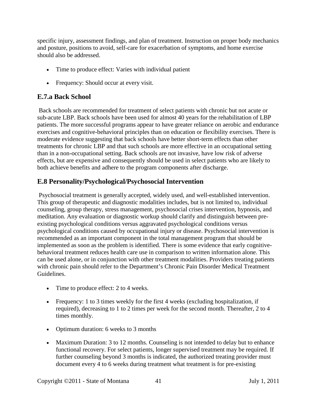specific injury, assessment findings, and plan of treatment. Instruction on proper body mechanics and posture, positions to avoid, self-care for exacerbation of symptoms, and home exercise should also be addressed.

- Time to produce effect: Varies with individual patient
- Frequency: Should occur at every visit.

## **E.7.a Back School**

Back schools are recommended for treatment of select patients with chronic but not acute or sub-acute LBP. Back schools have been used for almost 40 years for the rehabilitation of LBP patients. The more successful programs appear to have greater reliance on aerobic and endurance exercises and cognitive-behavioral principles than on education or flexibility exercises. There is moderate evidence suggesting that back schools have better short-term effects than other treatments for chronic LBP and that such schools are more effective in an occupational setting than in a non-occupational setting. Back schools are not invasive, have low risk of adverse effects, but are expensive and consequently should be used in select patients who are likely to both achieve benefits and adhere to the program components after discharge.

## <span id="page-40-0"></span>**E.8 Personality/Psychological/Psychosocial Intervention**

Psychosocial treatment is generally accepted, widely used, and well-established intervention. This group of therapeutic and diagnostic modalities includes, but is not limited to, individual counseling, group therapy, stress management, psychosocial crises intervention, hypnosis, and meditation. Any evaluation or diagnostic workup should clarify and distinguish between preexisting psychological conditions versus aggravated psychological conditions versus psychological conditions caused by occupational injury or disease. Psychosocial intervention is recommended as an important component in the total management program that should be implemented as soon as the problem is identified. There is some evidence that early cognitivebehavioral treatment reduces health care use in comparison to written information alone. This can be used alone, or in conjunction with other treatment modalities. Providers treating patients with chronic pain should refer to the Department's Chronic Pain Disorder Medical Treatment Guidelines.

- Time to produce effect: 2 to 4 weeks.
- Frequency: 1 to 3 times weekly for the first 4 weeks (excluding hospitalization, if required), decreasing to 1 to 2 times per week for the second month. Thereafter, 2 to 4 times monthly.
- Optimum duration: 6 weeks to 3 months
- Maximum Duration: 3 to 12 months. Counseling is not intended to delay but to enhance functional recovery. For select patients, longer supervised treatment may be required. If further counseling beyond 3 months is indicated, the authorized treating provider must document every 4 to 6 weeks during treatment what treatment is for pre-existing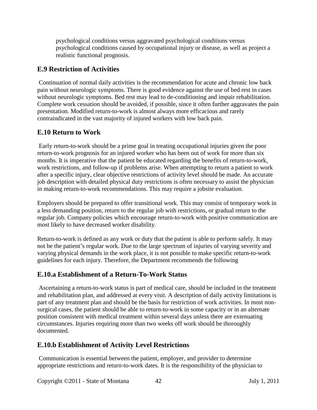psychological conditions versus aggravated psychological conditions versus psychological conditions caused by occupational injury or disease, as well as project a realistic functional prognosis.

## <span id="page-41-0"></span>**E.9 Restriction of Activities**

Continuation of normal daily activities is the recommendation for acute and chronic low back pain without neurologic symptoms. There is good evidence against the use of bed rest in cases without neurologic symptoms. Bed rest may lead to de-conditioning and impair rehabilitation. Complete work cessation should be avoided, if possible, since it often further aggravates the pain presentation. Modified return-to-work is almost always more efficacious and rarely contraindicated in the vast majority of injured workers with low back pain.

## <span id="page-41-1"></span>**E.10 Return to Work**

Early return-to-work should be a prime goal in treating occupational injuries given the poor return-to-work prognosis for an injured worker who has been out of work for more than six months. It is imperative that the patient be educated regarding the benefits of return-to-work, work restrictions, and follow-up if problems arise. When attempting to return a patient to work after a specific injury, clear objective restrictions of activity level should be made. An accurate job description with detailed physical duty restrictions is often necessary to assist the physician in making return-to-work recommendations. This may require a jobsite evaluation.

Employers should be prepared to offer transitional work. This may consist of temporary work in a less demanding position, return to the regular job with restrictions, or gradual return to the regular job. Company policies which encourage return-to-work with positive communication are most likely to have decreased worker disability.

Return-to-work is defined as any work or duty that the patient is able to perform safely. It may not be the patient's regular work. Due to the large spectrum of injuries of varying severity and varying physical demands in the work place, it is not possible to make specific return-to-work guidelines for each injury. Therefore, the Department recommends the following

#### **E.10.a Establishment of a Return-To-Work Status**

Ascertaining a return-to-work status is part of medical care, should be included in the treatment and rehabilitation plan, and addressed at every visit. A description of daily activity limitations is part of any treatment plan and should be the basis for restriction of work activities. In most nonsurgical cases, the patient should be able to return-to-work in some capacity or in an alternate position consistent with medical treatment within several days unless there are extenuating circumstances. Injuries requiring more than two weeks off work should be thoroughly documented.

#### **E.10.b Establishment of Activity Level Restrictions**

Communication is essential between the patient, employer, and provider to determine appropriate restrictions and return-to-work dates. It is the responsibility of the physician to

Copyright ©2011 - State of Montana 42 July 1, 2011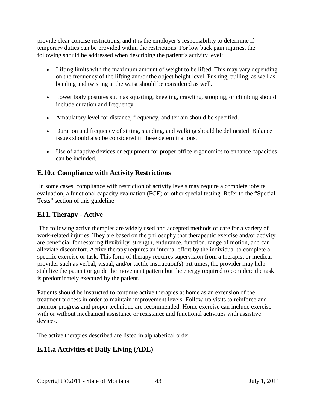provide clear concise restrictions, and it is the employer's responsibility to determine if temporary duties can be provided within the restrictions. For low back pain injuries, the following should be addressed when describing the patient's activity level:

- Lifting limits with the maximum amount of weight to be lifted. This may vary depending on the frequency of the lifting and/or the object height level. Pushing, pulling, as well as bending and twisting at the waist should be considered as well.
- Lower body postures such as squatting, kneeling, crawling, stooping, or climbing should include duration and frequency.
- Ambulatory level for distance, frequency, and terrain should be specified.
- Duration and frequency of sitting, standing, and walking should be delineated. Balance issues should also be considered in these determinations.
- Use of adaptive devices or equipment for proper office ergonomics to enhance capacities can be included.

## **E.10.c Compliance with Activity Restrictions**

In some cases, compliance with restriction of activity levels may require a complete jobsite evaluation, a functional capacity evaluation (FCE) or other special testing. Refer to the "Special Tests" section of this guideline.

## <span id="page-42-0"></span>**E11. Therapy - Active**

The following active therapies are widely used and accepted methods of care for a variety of work-related injuries. They are based on the philosophy that therapeutic exercise and/or activity are beneficial for restoring flexibility, strength, endurance, function, range of motion, and can alleviate discomfort. Active therapy requires an internal effort by the individual to complete a specific exercise or task. This form of therapy requires supervision from a therapist or medical provider such as verbal, visual, and/or tactile instruction(s). At times, the provider may help stabilize the patient or guide the movement pattern but the energy required to complete the task is predominately executed by the patient.

Patients should be instructed to continue active therapies at home as an extension of the treatment process in order to maintain improvement levels. Follow-up visits to reinforce and monitor progress and proper technique are recommended. Home exercise can include exercise with or without mechanical assistance or resistance and functional activities with assistive devices.

The active therapies described are listed in alphabetical order.

# **E.11.a Activities of Daily Living (ADL)**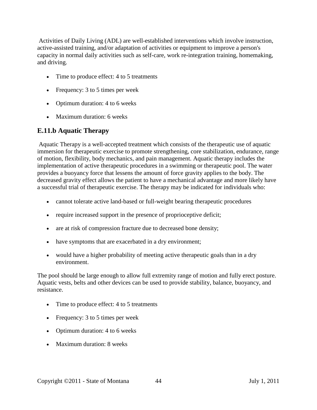Activities of Daily Living (ADL) are well-established interventions which involve instruction, active-assisted training, and/or adaptation of activities or equipment to improve a person's capacity in normal daily activities such as self-care, work re-integration training, homemaking, and driving.

- Time to produce effect: 4 to 5 treatments
- Frequency: 3 to 5 times per week
- Optimum duration: 4 to 6 weeks
- Maximum duration: 6 weeks

## **E.11.b Aquatic Therapy**

Aquatic Therapy is a well-accepted treatment which consists of the therapeutic use of aquatic immersion for therapeutic exercise to promote strengthening, core stabilization, endurance, range of motion, flexibility, body mechanics, and pain management. Aquatic therapy includes the implementation of active therapeutic procedures in a swimming or therapeutic pool. The water provides a buoyancy force that lessens the amount of force gravity applies to the body. The decreased gravity effect allows the patient to have a mechanical advantage and more likely have a successful trial of therapeutic exercise. The therapy may be indicated for individuals who:

- cannot tolerate active land-based or full-weight bearing therapeutic procedures
- require increased support in the presence of proprioceptive deficit;
- are at risk of compression fracture due to decreased bone density;
- have symptoms that are exacerbated in a dry environment;
- would have a higher probability of meeting active therapeutic goals than in a dry environment.

The pool should be large enough to allow full extremity range of motion and fully erect posture. Aquatic vests, belts and other devices can be used to provide stability, balance, buoyancy, and resistance.

- Time to produce effect: 4 to 5 treatments
- Frequency: 3 to 5 times per week
- Optimum duration: 4 to 6 weeks
- Maximum duration: 8 weeks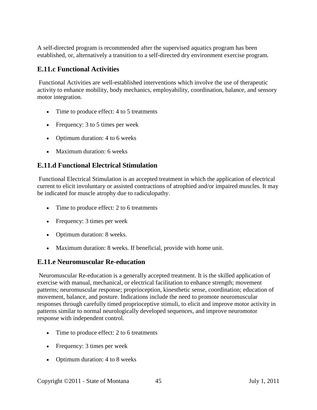A self-directed program is recommended after the supervised aquatics program has been established, or, alternatively a transition to a self-directed dry environment exercise program.

#### **E.11.c Functional Activities**

Functional Activities are well-established interventions which involve the use of therapeutic activity to enhance mobility, body mechanics, employability, coordination, balance, and sensory motor integration.

- Time to produce effect: 4 to 5 treatments
- Frequency: 3 to 5 times per week
- Optimum duration: 4 to 6 weeks
- Maximum duration: 6 weeks

## **E.11.d Functional Electrical Stimulation**

Functional Electrical Stimulation is an accepted treatment in which the application of electrical current to elicit involuntary or assisted contractions of atrophied and/or impaired muscles. It may be indicated for muscle atrophy due to radiculopathy.

- Time to produce effect: 2 to 6 treatments
- Frequency: 3 times per week
- Optimum duration: 8 weeks.
- Maximum duration: 8 weeks. If beneficial, provide with home unit.

#### **E.11.e Neuromuscular Re-education**

Neuromuscular Re-education is a generally accepted treatment. It is the skilled application of exercise with manual, mechanical, or electrical facilitation to enhance strength; movement patterns; neuromuscular response; proprioception, kinesthetic sense, coordination; education of movement, balance, and posture. Indications include the need to promote neuromuscular responses through carefully timed proprioceptive stimuli, to elicit and improve motor activity in patterns similar to normal neurologically developed sequences, and improve neuromotor response with independent control.

- Time to produce effect: 2 to 6 treatments
- Frequency: 3 times per week
- Optimum duration: 4 to 8 weeks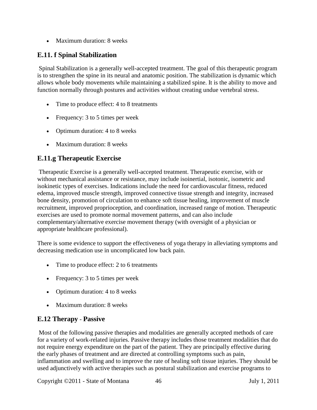• Maximum duration: 8 weeks

## **E.11. f Spinal Stabilization**

Spinal Stabilization is a generally well-accepted treatment. The goal of this therapeutic program is to strengthen the spine in its neural and anatomic position. The stabilization is dynamic which allows whole body movements while maintaining a stabilized spine. It is the ability to move and function normally through postures and activities without creating undue vertebral stress.

- Time to produce effect: 4 to 8 treatments
- Frequency: 3 to 5 times per week
- Optimum duration: 4 to 8 weeks
- Maximum duration: 8 weeks

## **E.11.g Therapeutic Exercise**

Therapeutic Exercise is a generally well-accepted treatment. Therapeutic exercise, with or without mechanical assistance or resistance, may include isoinertial, isotonic, isometric and isokinetic types of exercises. Indications include the need for cardiovascular fitness, reduced edema, improved muscle strength, improved connective tissue strength and integrity, increased bone density, promotion of circulation to enhance soft tissue healing, improvement of muscle recruitment, improved proprioception, and coordination, increased range of motion. Therapeutic exercises are used to promote normal movement patterns, and can also include complementary/alternative exercise movement therapy (with oversight of a physician or appropriate healthcare professional).

There is some evidence to support the effectiveness of yoga therapy in alleviating symptoms and decreasing medication use in uncomplicated low back pain.

- Time to produce effect: 2 to 6 treatments
- Frequency: 3 to 5 times per week
- Optimum duration: 4 to 8 weeks
- <span id="page-45-0"></span>• Maximum duration: 8 weeks

#### **E.12 Therapy** - **Passive**

Most of the following passive therapies and modalities are generally accepted methods of care for a variety of work-related injuries. Passive therapy includes those treatment modalities that do not require energy expenditure on the part of the patient. They are principally effective during the early phases of treatment and are directed at controlling symptoms such as pain, inflammation and swelling and to improve the rate of healing soft tissue injuries. They should be used adjunctively with active therapies such as postural stabilization and exercise programs to

Copyright ©2011 - State of Montana 46 July 1, 2011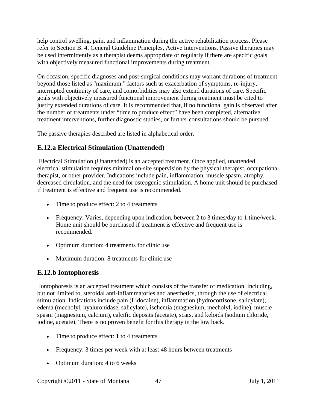help control swelling, pain, and inflammation during the active rehabilitation process. Please refer to Section B. 4. General Guideline Principles, Active Interventions. Passive therapies may be used intermittently as a therapist deems appropriate or regularly if there are specific goals with objectively measured functional improvements during treatment.

On occasion, specific diagnoses and post-surgical conditions may warrant durations of treatment beyond those listed as "maximum." factors such as exacerbation of symptoms, re-injury, interrupted continuity of care, and comorbidities may also extend durations of care. Specific goals with objectively measured functional improvement during treatment must be cited to justify extended durations of care. It is recommended that, if no functional gain is observed after the number of treatments under "time to produce effect" have been completed, alternative treatment interventions, further diagnostic studies, or further consultations should be pursued.

The passive therapies described are listed in alphabetical order.

# **E.12.a Electrical Stimulation (Unattended)**

Electrical Stimulation (Unattended) is an accepted treatment. Once applied, unattended electrical stimulation requires minimal on-site supervision by the physical therapist, occupational therapist, or other provider. Indications include pain, inflammation, muscle spasm, atrophy, decreased circulation, and the need for osteogenic stimulation. A home unit should be purchased if treatment is effective and frequent use is recommended.

- Time to produce effect: 2 to 4 treatments
- Frequency: Varies, depending upon indication, between 2 to 3 times/day to 1 time/week. Home unit should be purchased if treatment is effective and frequent use is recommended.
- Optimum duration: 4 treatments for clinic use
- Maximum duration: 8 treatments for clinic use

#### **E.12.b Iontophoresis**

Iontophoresis is an accepted treatment which consists of the transfer of medication, including, but not limited to, steroidal anti-inflammatories and anesthetics, through the use of electrical stimulation. Indications include pain (Lidocaine), inflammation (hydrocortisone, salicylate), edema (mecholyl, hyaluronidase, salicylate), ischemia (magnesium, mecholyl, iodine), muscle spasm (magnesium, calcium), calcific deposits (acetate), scars, and keloids (sodium chloride, iodine, acetate). There is no proven benefit for this therapy in the low back.

- Time to produce effect: 1 to 4 treatments
- Frequency: 3 times per week with at least 48 hours between treatments
- Optimum duration: 4 to 6 weeks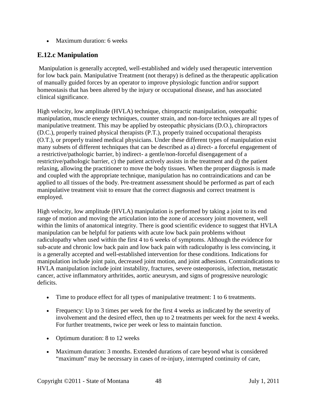• Maximum duration: 6 weeks

## **E.12.c Manipulation**

Manipulation is generally accepted, well-established and widely used therapeutic intervention for low back pain. Manipulative Treatment (not therapy) is defined as the therapeutic application of manually guided forces by an operator to improve physiologic function and/or support homeostasis that has been altered by the injury or occupational disease, and has associated clinical significance.

High velocity, low amplitude (HVLA) technique, chiropractic manipulation, osteopathic manipulation, muscle energy techniques, counter strain, and non-force techniques are all types of manipulative treatment. This may be applied by osteopathic physicians (D.O.), chiropractors (D.C.), properly trained physical therapists (P.T.), properly trained occupational therapists (O.T.), or properly trained medical physicians. Under these different types of manipulation exist many subsets of different techniques that can be described as a) direct- a forceful engagement of a restrictive/pathologic barrier, b) indirect- a gentle/non-forceful disengagement of a restrictive/pathologic barrier, c) the patient actively assists in the treatment and d) the patient relaxing, allowing the practitioner to move the body tissues. When the proper diagnosis is made and coupled with the appropriate technique, manipulation has no contraindications and can be applied to all tissues of the body. Pre-treatment assessment should be performed as part of each manipulative treatment visit to ensure that the correct diagnosis and correct treatment is employed.

High velocity, low amplitude (HVLA) manipulation is performed by taking a joint to its end range of motion and moving the articulation into the zone of accessory joint movement, well within the limits of anatomical integrity. There is good scientific evidence to suggest that HVLA manipulation can be helpful for patients with acute low back pain problems without radiculopathy when used within the first 4 to 6 weeks of symptoms. Although the evidence for sub-acute and chronic low back pain and low back pain with radiculopathy is less convincing, it is a generally accepted and well-established intervention for these conditions. Indications for manipulation include joint pain, decreased joint motion, and joint adhesions. Contraindications to HVLA manipulation include joint instability, fractures, severe osteoporosis, infection, metastatic cancer, active inflammatory arthritides, aortic aneurysm, and signs of progressive neurologic deficits.

- Time to produce effect for all types of manipulative treatment: 1 to 6 treatments.
- Frequency: Up to 3 times per week for the first 4 weeks as indicated by the severity of involvement and the desired effect, then up to 2 treatments per week for the next 4 weeks. For further treatments, twice per week or less to maintain function.
- Optimum duration: 8 to 12 weeks
- Maximum duration: 3 months. Extended durations of care beyond what is considered "maximum" may be necessary in cases of re-injury, interrupted continuity of care,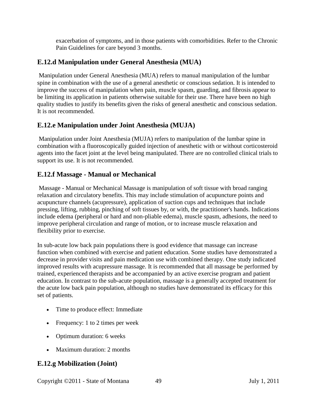exacerbation of symptoms, and in those patients with comorbidities. Refer to the Chronic Pain Guidelines for care beyond 3 months.

## **E.12.d Manipulation under General Anesthesia (MUA)**

Manipulation under General Anesthesia (MUA) refers to manual manipulation of the lumbar spine in combination with the use of a general anesthetic or conscious sedation. It is intended to improve the success of manipulation when pain, muscle spasm, guarding, and fibrosis appear to be limiting its application in patients otherwise suitable for their use. There have been no high quality studies to justify its benefits given the risks of general anesthetic and conscious sedation. It is not recommended.

## **E.12.e Manipulation under Joint Anesthesia (MUJA)**

Manipulation under Joint Anesthesia (MUJA) refers to manipulation of the lumbar spine in combination with a fluoroscopically guided injection of anesthetic with or without corticosteroid agents into the facet joint at the level being manipulated. There are no controlled clinical trials to support its use. It is not recommended.

#### **E.12.f Massage - Manual or Mechanical**

Massage - Manual or Mechanical Massage is manipulation of soft tissue with broad ranging relaxation and circulatory benefits. This may include stimulation of acupuncture points and acupuncture channels (acupressure), application of suction cups and techniques that include pressing, lifting, rubbing, pinching of soft tissues by, or with, the practitioner's hands. Indications include edema (peripheral or hard and non-pliable edema), muscle spasm, adhesions, the need to improve peripheral circulation and range of motion, or to increase muscle relaxation and flexibility prior to exercise.

In sub-acute low back pain populations there is good evidence that massage can increase function when combined with exercise and patient education. Some studies have demonstrated a decrease in provider visits and pain medication use with combined therapy. One study indicated improved results with acupressure massage. It is recommended that all massage be performed by trained, experienced therapists and be accompanied by an active exercise program and patient education. In contrast to the sub-acute population, massage is a generally accepted treatment for the acute low back pain population, although no studies have demonstrated its efficacy for this set of patients.

- Time to produce effect: Immediate
- Frequency: 1 to 2 times per week
- Optimum duration: 6 weeks
- Maximum duration: 2 months

## **E.12.g Mobilization (Joint)**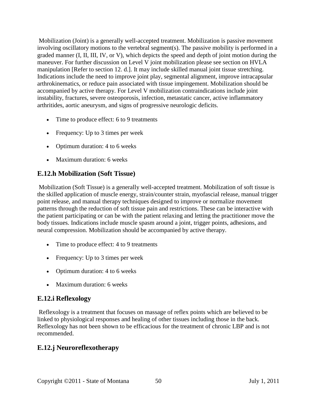Mobilization (Joint) is a generally well-accepted treatment. Mobilization is passive movement involving oscillatory motions to the vertebral segment(s). The passive mobility is performed in a graded manner (I, II, III, IV, or V), which depicts the speed and depth of joint motion during the maneuver. For further discussion on Level V joint mobilization please see section on HVLA manipulation [Refer to section 12. d.]. It may include skilled manual joint tissue stretching. Indications include the need to improve joint play, segmental alignment, improve intracapsular arthrokinematics, or reduce pain associated with tissue impingement. Mobilization should be accompanied by active therapy. For Level V mobilization contraindications include joint instability, fractures, severe osteoporosis, infection, metastatic cancer, active inflammatory arthritides, aortic aneurysm, and signs of progressive neurologic deficits.

- Time to produce effect: 6 to 9 treatments
- Frequency: Up to 3 times per week
- Optimum duration: 4 to 6 weeks
- Maximum duration: 6 weeks

## **E.12.h Mobilization (Soft Tissue)**

Mobilization (Soft Tissue) is a generally well-accepted treatment. Mobilization of soft tissue is the skilled application of muscle energy, strain/counter strain, myofascial release, manual trigger point release, and manual therapy techniques designed to improve or normalize movement patterns through the reduction of soft tissue pain and restrictions. These can be interactive with the patient participating or can be with the patient relaxing and letting the practitioner move the body tissues. Indications include muscle spasm around a joint, trigger points, adhesions, and neural compression. Mobilization should be accompanied by active therapy.

- Time to produce effect: 4 to 9 treatments
- Frequency: Up to 3 times per week
- Optimum duration: 4 to 6 weeks
- Maximum duration: 6 weeks

## **E.12.i Reflexology**

Reflexology is a treatment that focuses on massage of reflex points which are believed to be linked to physiological responses and healing of other tissues including those in the back. Reflexology has not been shown to be efficacious for the treatment of chronic LBP and is not recommended.

## **E.12.j Neuroreflexotherapy**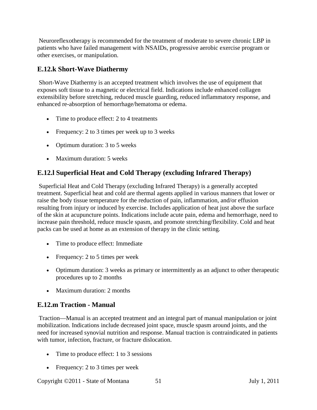Neuroreflexotherapy is recommended for the treatment of moderate to severe chronic LBP in patients who have failed management with NSAIDs, progressive aerobic exercise program or other exercises, or manipulation.

## **E.12.k Short-Wave Diathermy**

Short-Wave Diathermy is an accepted treatment which involves the use of equipment that exposes soft tissue to a magnetic or electrical field. Indications include enhanced collagen extensibility before stretching, reduced muscle guarding, reduced inflammatory response, and enhanced re-absorption of hemorrhage/hematoma or edema.

- Time to produce effect: 2 to 4 treatments
- Frequency: 2 to 3 times per week up to 3 weeks
- Optimum duration: 3 to 5 weeks
- Maximum duration: 5 weeks

## **E.12.l Superficial Heat and Cold Therapy (excluding Infrared Therapy)**

Superficial Heat and Cold Therapy (excluding Infrared Therapy) is a generally accepted treatment. Superficial heat and cold are thermal agents applied in various manners that lower or raise the body tissue temperature for the reduction of pain, inflammation, and/or effusion resulting from injury or induced by exercise. Includes application of heat just above the surface of the skin at acupuncture points. Indications include acute pain, edema and hemorrhage, need to increase pain threshold, reduce muscle spasm, and promote stretching/flexibility. Cold and heat packs can be used at home as an extension of therapy in the clinic setting.

- Time to produce effect: Immediate
- Frequency: 2 to 5 times per week
- Optimum duration: 3 weeks as primary or intermittently as an adjunct to other therapeutic procedures up to 2 months
- Maximum duration: 2 months

#### **E.12.m Traction - Manual**

Traction—Manual is an accepted treatment and an integral part of manual manipulation or joint mobilization. Indications include decreased joint space, muscle spasm around joints, and the need for increased synovial nutrition and response. Manual traction is contraindicated in patients with tumor, infection, fracture, or fracture dislocation.

- Time to produce effect: 1 to 3 sessions
- Frequency: 2 to 3 times per week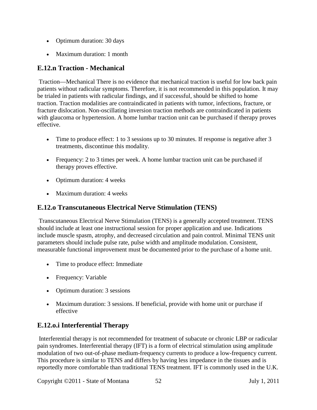- Optimum duration: 30 days
- Maximum duration: 1 month

## **E.12.n Traction - Mechanical**

Traction—Mechanical There is no evidence that mechanical traction is useful for low back pain patients without radicular symptoms. Therefore, it is not recommended in this population. It may be trialed in patients with radicular findings, and if successful, should be shifted to home traction. Traction modalities are contraindicated in patients with tumor, infections, fracture, or fracture dislocation. Non-oscillating inversion traction methods are contraindicated in patients with glaucoma or hypertension. A home lumbar traction unit can be purchased if therapy proves effective.

- Time to produce effect: 1 to 3 sessions up to 30 minutes. If response is negative after 3 treatments, discontinue this modality.
- Frequency: 2 to 3 times per week. A home lumbar traction unit can be purchased if therapy proves effective.
- Optimum duration: 4 weeks
- Maximum duration: 4 weeks

## **E.12.o Transcutaneous Electrical Nerve Stimulation (TENS)**

Transcutaneous Electrical Nerve Stimulation (TENS) is a generally accepted treatment. TENS should include at least one instructional session for proper application and use. Indications include muscle spasm, atrophy, and decreased circulation and pain control. Minimal TENS unit parameters should include pulse rate, pulse width and amplitude modulation. Consistent, measurable functional improvement must be documented prior to the purchase of a home unit.

- Time to produce effect: Immediate
- Frequency: Variable
- Optimum duration: 3 sessions
- Maximum duration: 3 sessions. If beneficial, provide with home unit or purchase if effective

#### **E.12.o.i Interferential Therapy**

Interferential therapy is not recommended for treatment of subacute or chronic LBP or radicular pain syndromes. Interferential therapy (IFT) is a form of electrical stimulation using amplitude modulation of two out-of-phase medium-frequency currents to produce a low-frequency current. This procedure is similar to TENS and differs by having less impedance in the tissues and is reportedly more comfortable than traditional TENS treatment. IFT is commonly used in the U.K.

Copyright ©2011 - State of Montana 52 July 1, 2011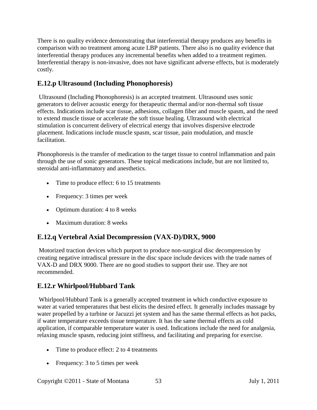There is no quality evidence demonstrating that interferential therapy produces any benefits in comparison with no treatment among acute LBP patients. There also is no quality evidence that interferential therapy produces any incremental benefits when added to a treatment regimen. Interferential therapy is non-invasive, does not have significant adverse effects, but is moderately costly.

# **E.12.p Ultrasound (Including Phonophoresis)**

Ultrasound (Including Phonophoresis) is an accepted treatment. Ultrasound uses sonic generators to deliver acoustic energy for therapeutic thermal and/or non-thermal soft tissue effects. Indications include scar tissue, adhesions, collagen fiber and muscle spasm, and the need to extend muscle tissue or accelerate the soft tissue healing. Ultrasound with electrical stimulation is concurrent delivery of electrical energy that involves dispersive electrode placement. Indications include muscle spasm, scar tissue, pain modulation, and muscle facilitation.

Phonophoresis is the transfer of medication to the target tissue to control inflammation and pain through the use of sonic generators. These topical medications include, but are not limited to, steroidal anti-inflammatory and anesthetics.

- Time to produce effect: 6 to 15 treatments
- Frequency: 3 times per week
- Optimum duration: 4 to 8 weeks
- Maximum duration: 8 weeks

# **E.12.q Vertebral Axial Decompression (VAX-D)/DRX, 9000**

Motorized traction devices which purport to produce non-surgical disc decompression by creating negative intradiscal pressure in the disc space include devices with the trade names of VAX-D and DRX 9000. There are no good studies to support their use. They are not recommended.

# **E.12.r Whirlpool/Hubbard Tank**

Whirlpool/Hubbard Tank is a generally accepted treatment in which conductive exposure to water at varied temperatures that best elicits the desired effect. It generally includes massage by water propelled by a turbine or Jacuzzi jet system and has the same thermal effects as hot packs, if water temperature exceeds tissue temperature. It has the same thermal effects as cold application, if comparable temperature water is used. Indications include the need for analgesia, relaxing muscle spasm, reducing joint stiffness, and facilitating and preparing for exercise.

- Time to produce effect: 2 to 4 treatments
- Frequency: 3 to 5 times per week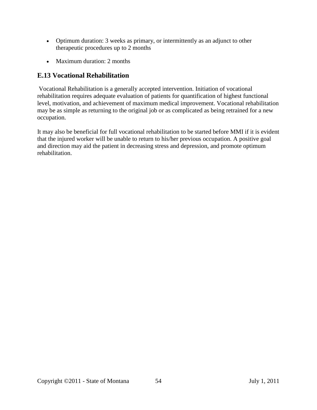- Optimum duration: 3 weeks as primary, or intermittently as an adjunct to other therapeutic procedures up to 2 months
- <span id="page-53-0"></span>• Maximum duration: 2 months

## **E.13 Vocational Rehabilitation**

Vocational Rehabilitation is a generally accepted intervention. Initiation of vocational rehabilitation requires adequate evaluation of patients for quantification of highest functional level, motivation, and achievement of maximum medical improvement. Vocational rehabilitation may be as simple as returning to the original job or as complicated as being retrained for a new occupation.

It may also be beneficial for full vocational rehabilitation to be started before MMI if it is evident that the injured worker will be unable to return to his/her previous occupation. A positive goal and direction may aid the patient in decreasing stress and depression, and promote optimum rehabilitation.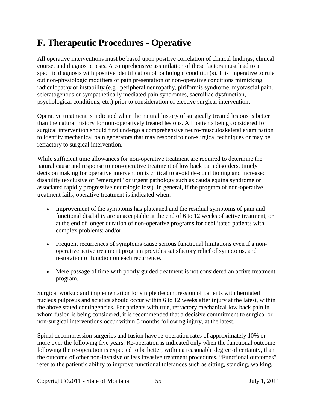# <span id="page-54-0"></span>**F. Therapeutic Procedures - Operative**

All operative interventions must be based upon positive correlation of clinical findings, clinical course, and diagnostic tests. A comprehensive assimilation of these factors must lead to a specific diagnosis with positive identification of pathologic condition(s). It is imperative to rule out non-physiologic modifiers of pain presentation or non-operative conditions mimicking radiculopathy or instability (e.g., peripheral neuropathy, piriformis syndrome, myofascial pain, scleratogenous or sympathetically mediated pain syndromes, sacroiliac dysfunction, psychological conditions, etc.) prior to consideration of elective surgical intervention.

Operative treatment is indicated when the natural history of surgically treated lesions is better than the natural history for non-operatively treated lesions. All patients being considered for surgical intervention should first undergo a comprehensive neuro-musculoskeletal examination to identify mechanical pain generators that may respond to non-surgical techniques or may be refractory to surgical intervention.

While sufficient time allowances for non-operative treatment are required to determine the natural cause and response to non-operative treatment of low back pain disorders, timely decision making for operative intervention is critical to avoid de-conditioning and increased disability (exclusive of "emergent" or urgent pathology such as cauda equina syndrome or associated rapidly progressive neurologic loss). In general, if the program of non-operative treatment fails, operative treatment is indicated when:

- Improvement of the symptoms has plateaued and the residual symptoms of pain and functional disability are unacceptable at the end of 6 to 12 weeks of active treatment, or at the end of longer duration of non-operative programs for debilitated patients with complex problems; and/or
- Frequent recurrences of symptoms cause serious functional limitations even if a nonoperative active treatment program provides satisfactory relief of symptoms, and restoration of function on each recurrence.
- Mere passage of time with poorly guided treatment is not considered an active treatment program.

Surgical workup and implementation for simple decompression of patients with herniated nucleus pulposus and sciatica should occur within 6 to 12 weeks after injury at the latest, within the above stated contingencies. For patients with true, refractory mechanical low back pain in whom fusion is being considered, it is recommended that a decisive commitment to surgical or non-surgical interventions occur within 5 months following injury, at the latest.

Spinal decompression surgeries and fusion have re-operation rates of approximately 10% or more over the following five years. Re-operation is indicated only when the functional outcome following the re-operation is expected to be better, within a reasonable degree of certainty, than the outcome of other non-invasive or less invasive treatment procedures. "Functional outcomes" refer to the patient's ability to improve functional tolerances such as sitting, standing, walking,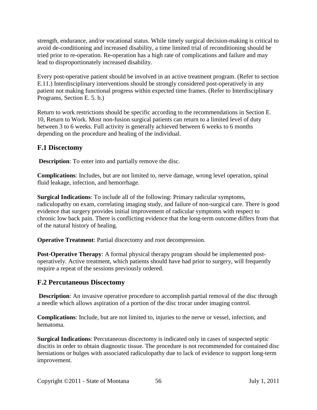strength, endurance, and/or vocational status. While timely surgical decision-making is critical to avoid de-conditioning and increased disability, a time limited trial of reconditioning should be tried prior to re-operation. Re-operation has a high rate of complications and failure and may lead to disproportionately increased disability.

Every post-operative patient should be involved in an active treatment program. (Refer to section E.11.) Interdisciplinary interventions should be strongly considered post-operatively in any patient not making functional progress within expected time frames. (Refer to Interdisciplinary Programs, Section E. 5. b.)

Return to work restrictions should be specific according to the recommendations in Section E. 10, Return to Work. Most non-fusion surgical patients can return to a limited level of duty between 3 to 6 weeks. Full activity is generally achieved between 6 weeks to 6 months depending on the procedure and healing of the individual.

## **F.1 Discectomy**

**Description**: To enter into and partially remove the disc.

**Complications**: Includes, but are not limited to, nerve damage, wrong level operation, spinal fluid leakage, infection, and hemorrhage.

**Surgical Indications**: To include all of the following: Primary radicular symptoms, radiculopathy on exam, correlating imaging study, and failure of non-surgical care. There is good evidence that surgery provides initial improvement of radicular symptoms with respect to chronic low back pain. There is conflicting evidence that the long-term outcome differs from that of the natural history of healing.

**Operative Treatment**: Partial discectomy and root decompression.

**Post-Operative Therapy**: A formal physical therapy program should be implemented postoperatively. Active treatment, which patients should have had prior to surgery, will frequently require a repeat of the sessions previously ordered.

## **F.2 Percutaneous Discectomy**

**Description**: An invasive operative procedure to accomplish partial removal of the disc through a needle which allows aspiration of a portion of the disc trocar under imaging control.

**Complications**: Include, but are not limited to, injuries to the nerve or vessel, infection, and hematoma.

**Surgical Indications**: Percutaneous discectomy is indicated only in cases of suspected septic discitis in order to obtain diagnostic tissue. The procedure is not recommended for contained disc herniations or bulges with associated radiculopathy due to lack of evidence to support long-term improvement.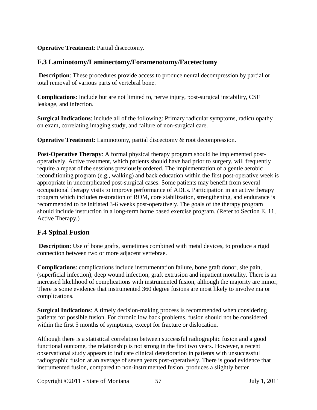#### **Operative Treatment**: Partial discectomy.

#### **F.3 Laminotomy/Laminectomy/Foramenotomy/Facetectomy**

**Description**: These procedures provide access to produce neural decompression by partial or total removal of various parts of vertebral bone.

**Complications**: Include but are not limited to, nerve injury, post-surgical instability, CSF leakage, and infection.

**Surgical Indications**: include all of the following: Primary radicular symptoms, radiculopathy on exam, correlating imaging study, and failure of non-surgical care.

**Operative Treatment**: Laminotomy, partial discectomy & root decompression.

**Post-Operative Therapy**: A formal physical therapy program should be implemented postoperatively. Active treatment, which patients should have had prior to surgery, will frequently require a repeat of the sessions previously ordered. The implementation of a gentle aerobic reconditioning program (e.g., walking) and back education within the first post-operative week is appropriate in uncomplicated post-surgical cases. Some patients may benefit from several occupational therapy visits to improve performance of ADLs. Participation in an active therapy program which includes restoration of ROM, core stabilization, strengthening, and endurance is recommended to be initiated 3-6 weeks post-operatively. The goals of the therapy program should include instruction in a long-term home based exercise program. (Refer to Section E. 11, Active Therapy.)

#### **F.4 Spinal Fusion**

**Description**: Use of bone grafts, sometimes combined with metal devices, to produce a rigid connection between two or more adjacent vertebrae.

**Complications**: complications include instrumentation failure, bone graft donor, site pain, (superficial infection), deep wound infection, graft extrusion and inpatient mortality. There is an increased likelihood of complications with instrumented fusion, although the majority are minor, There is some evidence that instrumented 360 degree fusions are most likely to involve major complications.

**Surgical Indications**: A timely decision-making process is recommended when considering patients for possible fusion. For chronic low back problems, fusion should not be considered within the first 5 months of symptoms, except for fracture or dislocation.

Although there is a statistical correlation between successful radiographic fusion and a good functional outcome, the relationship is not strong in the first two years. However, a recent observational study appears to indicate clinical deterioration in patients with unsuccessful radiographic fusion at an average of seven years post-operatively. There is good evidence that instrumented fusion, compared to non-instrumented fusion, produces a slightly better

Copyright ©2011 - State of Montana 57 July 1, 2011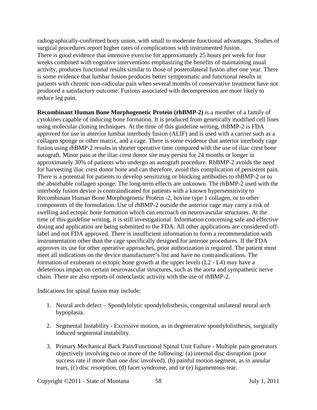radiographically-confirmed bony union, with small to moderate functional advantages. Studies of surgical procedures report higher rates of complications with instrumented fusion. There is good evidence that intensive exercise for approximately 25 hours per week for four weeks combined with cognitive interventions emphasizing the benefits of maintaining usual activity, produces functional results similar to those of posterolateral fusion after one year. There is some evidence that lumbar fusion produces better symptomatic and functional results in patients with chronic non-radicular pain when several months of conservative treatment have not produced a satisfactory outcome. Fusions associated with decompression are more likely to reduce leg pain.

**Recombinant Human Bone Morphogenetic Protein (rhBMP-2)** is a member of a family of cytokines capable of inducing bone formation. It is produced from genetically modified cell lines using molecular cloning techniques. At the time of this guideline writing, rhBMP-2 is FDA approved for use in anterior lumbar interbody fusion (ALIF) and is used with a carrier such as a collagen sponge or other matrix, and a cage. There is some evidence that anterior interbody cage fusion using rhBMP-2 results in shorter operative time compared with the use of iliac crest bone autograft. Minor pain at the iliac crest donor site may persist for 24 months or longer in approximately 30% of patients who undergo an autograft procedure. RhBMP-2 avoids the need for harvesting iliac crest donor bone and can therefore, avoid this complication of persistent pain. There is a potential for patients to develop sensitizing or blocking antibodies to rhBMP-2 or to the absorbable collagen sponge. The long-term effects are unknown. The rhBMP-2 used with the interbody fusion device is contraindicated for patients with a known hypersensitivity to Recombinant Human Bone Morphogenetic Protein -2, bovine type 1 collagen, or to other components of the formulation. Use of rhBMP-2 outside the anterior cage may carry a risk of swelling and ectopic bone formation which can encroach on neurovascular structures. At the time of this guideline writing, it is still investigational. Information concerning safe and effective dosing and application are being submitted to the FDA. All other applications are considered offlabel and not FDA approved. There is insufficient information to form a recommendation with instrumentation other than the cage specifically designed for anterior procedures. If the FDA approves its use for other operative approaches, prior authorization is required. The patient must meet all indications on the device manufacturer's list and have no contraindications. The formation of exuberant or ectopic bone growth at the upper levels (L2 - L4) may have a deleterious impact on certain neurovascular structures, such as the aorta and sympathetic nerve chain. There are also reports of osteoclastic activity with the use of rhBMP-2.

Indications for spinal fusion may include:

- 1. Neural arch defect Spondylolytic spondylolisthesis, congenital unilateral neural arch hypoplasia.
- 2. Segmental Instability Excessive motion, as in degenerative spondylolisthesis, surgically induced segmental instability.
- 3. Primary Mechanical Back Pain/Functional Spinal Unit Failure Multiple pain generators objectively involving two or more of the following: (a) internal disc disruption (poor success rate if more than one disc involved), (b) painful motion segment, as in annular tears, (c) disc resorption, (d) facet syndrome, and or (e) ligamentous tear.

Copyright ©2011 - State of Montana 58 July 1, 2011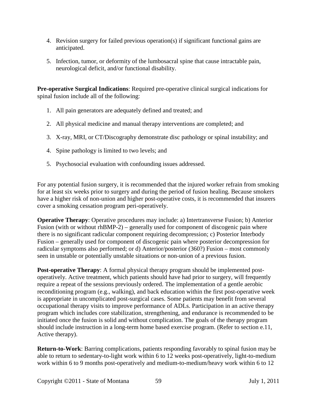- 4. Revision surgery for failed previous operation(s) if significant functional gains are anticipated.
- 5. Infection, tumor, or deformity of the lumbosacral spine that cause intractable pain, neurological deficit, and/or functional disability.

**Pre-operative Surgical Indications**: Required pre-operative clinical surgical indications for spinal fusion include all of the following:

- 1. All pain generators are adequately defined and treated; and
- 2. All physical medicine and manual therapy interventions are completed; and
- 3. X-ray, MRI, or CT/Discography demonstrate disc pathology or spinal instability; and
- 4. Spine pathology is limited to two levels; and
- 5. Psychosocial evaluation with confounding issues addressed.

For any potential fusion surgery, it is recommended that the injured worker refrain from smoking for at least six weeks prior to surgery and during the period of fusion healing. Because smokers have a higher risk of non-union and higher post-operative costs, it is recommended that insurers cover a smoking cessation program peri-operatively.

**Operative Therapy**: Operative procedures may include: a) Intertransverse Fusion; b) Anterior Fusion (with or without rhBMP-2) – generally used for component of discogenic pain where there is no significant radicular component requiring decompression; c) Posterior Interbody Fusion – generally used for component of discogenic pain where posterior decompression for radicular symptoms also performed; or d) Anterior/posterior (360?) Fusion – most commonly seen in unstable or potentially unstable situations or non-union of a previous fusion.

**Post-operative Therapy**: A formal physical therapy program should be implemented postoperatively. Active treatment, which patients should have had prior to surgery, will frequently require a repeat of the sessions previously ordered. The implementation of a gentle aerobic reconditioning program (e.g., walking), and back education within the first post-operative week is appropriate in uncomplicated post-surgical cases. Some patients may benefit from several occupational therapy visits to improve performance of ADLs. Participation in an active therapy program which includes core stabilization, strengthening, and endurance is recommended to be initiated once the fusion is solid and without complication. The goals of the therapy program should include instruction in a long-term home based exercise program. (Refer to section e.11, Active therapy).

**Return-to-Work**: Barring complications, patients responding favorably to spinal fusion may be able to return to sedentary-to-light work within 6 to 12 weeks post-operatively, light-to-medium work within 6 to 9 months post-operatively and medium-to-medium/heavy work within 6 to 12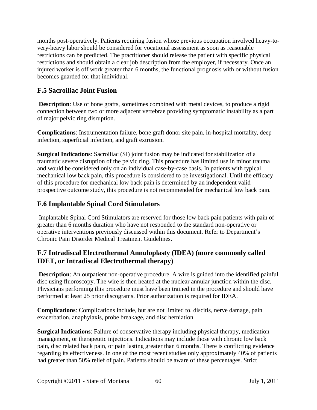months post-operatively. Patients requiring fusion whose previous occupation involved heavy-tovery-heavy labor should be considered for vocational assessment as soon as reasonable restrictions can be predicted. The practitioner should release the patient with specific physical restrictions and should obtain a clear job description from the employer, if necessary. Once an injured worker is off work greater than 6 months, the functional prognosis with or without fusion becomes guarded for that individual.

## **F.5 Sacroiliac Joint Fusion**

**Description**: Use of bone grafts, sometimes combined with metal devices, to produce a rigid connection between two or more adjacent vertebrae providing symptomatic instability as a part of major pelvic ring disruption.

**Complications**: Instrumentation failure, bone graft donor site pain, in-hospital mortality, deep infection, superficial infection, and graft extrusion.

**Surgical Indications**: Sacroiliac (SI) joint fusion may be indicated for stabilization of a traumatic severe disruption of the pelvic ring. This procedure has limited use in minor trauma and would be considered only on an individual case-by-case basis. In patients with typical mechanical low back pain, this procedure is considered to be investigational. Until the efficacy of this procedure for mechanical low back pain is determined by an independent valid prospective outcome study, this procedure is not recommended for mechanical low back pain.

## **F.6 Implantable Spinal Cord Stimulators**

Implantable Spinal Cord Stimulators are reserved for those low back pain patients with pain of greater than 6 months duration who have not responded to the standard non-operative or operative interventions previously discussed within this document. Refer to Department's Chronic Pain Disorder Medical Treatment Guidelines.

## **F.7 Intradiscal Electrothermal Annuloplasty (IDEA) (more commonly called IDET, or Intradiscal Electrothermal therapy)**

**Description**: An outpatient non-operative procedure. A wire is guided into the identified painful disc using fluoroscopy. The wire is then heated at the nuclear annular junction within the disc. Physicians performing this procedure must have been trained in the procedure and should have performed at least 25 prior discograms. Prior authorization is required for IDEA.

**Complications**: Complications include, but are not limited to, discitis, nerve damage, pain exacerbation, anaphylaxis, probe breakage, and disc herniation.

**Surgical Indications**: Failure of conservative therapy including physical therapy, medication management, or therapeutic injections. Indications may include those with chronic low back pain, disc related back pain, or pain lasting greater than 6 months. There is conflicting evidence regarding its effectiveness. In one of the most recent studies only approximately 40% of patients had greater than 50% relief of pain. Patients should be aware of these percentages. Strict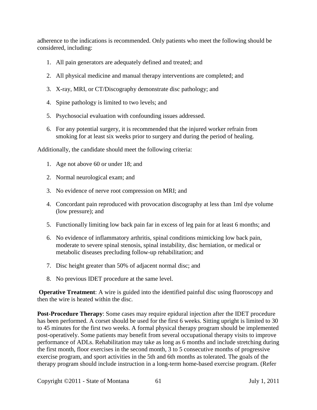adherence to the indications is recommended. Only patients who meet the following should be considered, including:

- 1. All pain generators are adequately defined and treated; and
- 2. All physical medicine and manual therapy interventions are completed; and
- 3. X-ray, MRI, or CT/Discography demonstrate disc pathology; and
- 4. Spine pathology is limited to two levels; and
- 5. Psychosocial evaluation with confounding issues addressed.
- 6. For any potential surgery, it is recommended that the injured worker refrain from smoking for at least six weeks prior to surgery and during the period of healing.

Additionally, the candidate should meet the following criteria:

- 1. Age not above 60 or under 18; and
- 2. Normal neurological exam; and
- 3. No evidence of nerve root compression on MRI; and
- 4. Concordant pain reproduced with provocation discography at less than 1ml dye volume (low pressure); and
- 5. Functionally limiting low back pain far in excess of leg pain for at least 6 months; and
- 6. No evidence of inflammatory arthritis, spinal conditions mimicking low back pain, moderate to severe spinal stenosis, spinal instability, disc herniation, or medical or metabolic diseases precluding follow-up rehabilitation; and
- 7. Disc height greater than 50% of adjacent normal disc; and
- 8. No previous IDET procedure at the same level.

**Operative Treatment**: A wire is guided into the identified painful disc using fluoroscopy and then the wire is heated within the disc.

**Post-Procedure Therapy**: Some cases may require epidural injection after the IDET procedure has been performed. A corset should be used for the first 6 weeks. Sitting upright is limited to 30 to 45 minutes for the first two weeks. A formal physical therapy program should be implemented post-operatively. Some patients may benefit from several occupational therapy visits to improve performance of ADLs. Rehabilitation may take as long as 6 months and include stretching during the first month, floor exercises in the second month, 3 to 5 consecutive months of progressive exercise program, and sport activities in the 5th and 6th months as tolerated. The goals of the therapy program should include instruction in a long-term home-based exercise program. (Refer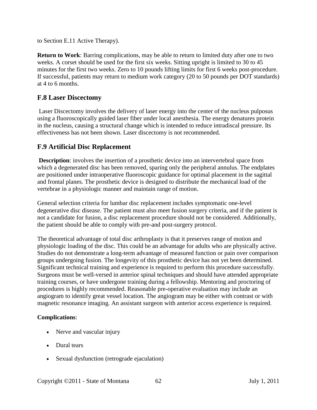to Section E.11 Active Therapy).

**Return to Work**: Barring complications, may be able to return to limited duty after one to two weeks. A corset should be used for the first six weeks. Sitting upright is limited to 30 to 45 minutes for the first two weeks. Zero to 10 pounds lifting limits for first 6 weeks post-procedure. If successful, patients may return to medium work category (20 to 50 pounds per DOT standards) at 4 to 6 months.

## **F.8 Laser Discectomy**

Laser Discectomy involves the delivery of laser energy into the center of the nucleus pulposus using a fluoroscopically guided laser fiber under local anesthesia. The energy denatures protein in the nucleus, causing a structural change which is intended to reduce intradiscal pressure. Its effectiveness has not been shown. Laser discectomy is not recommended.

## **F.9 Artificial Disc Replacement**

**Description**: involves the insertion of a prosthetic device into an intervertebral space from which a degenerated disc has been removed, sparing only the peripheral annulus. The endplates are positioned under intraoperative fluoroscopic guidance for optimal placement in the sagittal and frontal planes. The prosthetic device is designed to distribute the mechanical load of the vertebrae in a physiologic manner and maintain range of motion.

General selection criteria for lumbar disc replacement includes symptomatic one-level degenerative disc disease. The patient must also meet fusion surgery criteria, and if the patient is not a candidate for fusion, a disc replacement procedure should not be considered. Additionally, the patient should be able to comply with pre-and post-surgery protocol.

The theoretical advantage of total disc arthroplasty is that it preserves range of motion and physiologic loading of the disc. This could be an advantage for adults who are physically active. Studies do not demonstrate a long-term advantage of measured function or pain over comparison groups undergoing fusion. The longevity of this prosthetic device has not yet been determined. Significant technical training and experience is required to perform this procedure successfully. Surgeons must be well-versed in anterior spinal techniques and should have attended appropriate training courses, or have undergone training during a fellowship. Mentoring and proctoring of procedures is highly recommended. Reasonable pre-operative evaluation may include an angiogram to identify great vessel location. The angiogram may be either with contrast or with magnetic resonance imaging. An assistant surgeon with anterior access experience is required.

#### **Complications**:

- Nerve and vascular injury
- Dural tears
- Sexual dysfunction (retrograde ejaculation)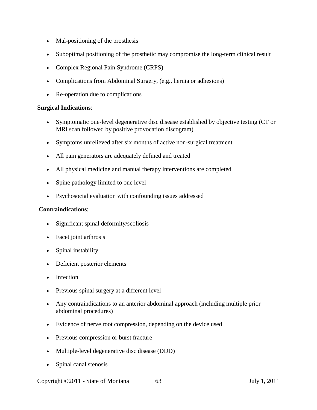- Mal-positioning of the prosthesis
- Suboptimal positioning of the prosthetic may compromise the long-term clinical result
- Complex Regional Pain Syndrome (CRPS)
- Complications from Abdominal Surgery, (e.g., hernia or adhesions)
- Re-operation due to complications

#### **Surgical Indications**:

- Symptomatic one-level degenerative disc disease established by objective testing (CT or MRI scan followed by positive provocation discogram)
- Symptoms unrelieved after six months of active non-surgical treatment
- All pain generators are adequately defined and treated
- All physical medicine and manual therapy interventions are completed
- Spine pathology limited to one level
- Psychosocial evaluation with confounding issues addressed

#### **Contraindications**:

- Significant spinal deformity/scoliosis
- Facet joint arthrosis
- Spinal instability
- Deficient posterior elements
- Infection
- Previous spinal surgery at a different level
- Any contraindications to an anterior abdominal approach (including multiple prior abdominal procedures)
- Evidence of nerve root compression, depending on the device used
- Previous compression or burst fracture
- Multiple-level degenerative disc disease (DDD)
- Spinal canal stenosis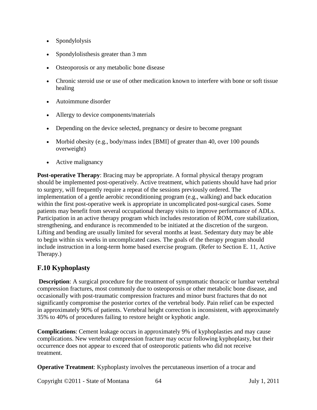- Spondylolysis
- Spondylolisthesis greater than 3 mm
- Osteoporosis or any metabolic bone disease
- Chronic steroid use or use of other medication known to interfere with bone or soft tissue healing
- Autoimmune disorder
- Allergy to device components/materials
- Depending on the device selected, pregnancy or desire to become pregnant
- Morbid obesity (e.g., body/mass index [BMI] of greater than 40, over 100 pounds overweight)
- Active malignancy

**Post-operative Therapy**: Bracing may be appropriate. A formal physical therapy program should be implemented post-operatively. Active treatment, which patients should have had prior to surgery, will frequently require a repeat of the sessions previously ordered. The implementation of a gentle aerobic reconditioning program (e.g., walking) and back education within the first post-operative week is appropriate in uncomplicated post-surgical cases. Some patients may benefit from several occupational therapy visits to improve performance of ADLs. Participation in an active therapy program which includes restoration of ROM, core stabilization, strengthening, and endurance is recommended to be initiated at the discretion of the surgeon. Lifting and bending are usually limited for several months at least. Sedentary duty may be able to begin within six weeks in uncomplicated cases. The goals of the therapy program should include instruction in a long-term home based exercise program. (Refer to Section E. 11, Active Therapy.)

## **F.10 Kyphoplasty**

**Description**: A surgical procedure for the treatment of symptomatic thoracic or lumbar vertebral compression fractures, most commonly due to osteoporosis or other metabolic bone disease, and occasionally with post-traumatic compression fractures and minor burst fractures that do not significantly compromise the posterior cortex of the vertebral body. Pain relief can be expected in approximately 90% of patients. Vertebral height correction is inconsistent, with approximately 35% to 40% of procedures failing to restore height or kyphotic angle.

**Complications**: Cement leakage occurs in approximately 9% of kyphoplasties and may cause complications. New vertebral compression fracture may occur following kyphoplasty, but their occurrence does not appear to exceed that of osteoporotic patients who did not receive treatment.

**Operative Treatment:** Kyphoplasty involves the percutaneous insertion of a trocar and

Copyright ©2011 - State of Montana 64 July 1, 2011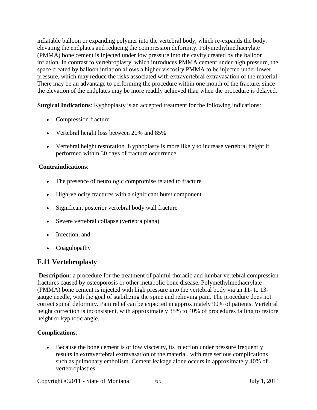inflatable balloon or expanding polymer into the vertebral body, which re-expands the body, elevating the endplates and reducing the compression deformity. Polymethylmethacrylate (PMMA) bone cement is injected under low pressure into the cavity created by the balloon inflation. In contrast to vertebroplasty, which introduces PMMA cement under high pressure, the space created by balloon inflation allows a higher viscosity PMMA to be injected under lower pressure, which may reduce the risks associated with extravertebral extravasation of the material. There may be an advantage to performing the procedure within one month of the fracture, since the elevation of the endplates may be more readily achieved than when the procedure is delayed.

**Surgical Indications**: Kyphoplasty is an accepted treatment for the following indications:

- Compression fracture
- Vertebral height loss between 20% and 85%
- Vertebral height restoration. Kyphoplasty is more likely to increase vertebral height if performed within 30 days of fracture occurrence

#### **Contraindications**:

- The presence of neurologic compromise related to fracture
- High-velocity fractures with a significant burst component
- Significant posterior vertebral body wall fracture
- Severe vertebral collapse (vertebra plana)
- Infection, and
- Coagulopathy

#### **F.11 Vertebroplasty**

**Description**: a procedure for the treatment of painful thoracic and lumbar vertebral compression fractures caused by osteoporosis or other metabolic bone disease. Polymethylmethacrylate (PMMA) bone cement is injected with high pressure into the vertebral body via an 11- to 13 gauge needle, with the goal of stabilizing the spine and relieving pain. The procedure does not correct spinal deformity. Pain relief can be expected in approximately 90% of patients. Vertebral height correction is inconsistent, with approximately 35% to 40% of procedures failing to restore height or kyphotic angle.

#### **Complications**:

• Because the bone cement is of low viscosity, its injection under pressure frequently results in extravertebral extravasation of the material, with rare serious complications such as pulmonary embolism. Cement leakage alone occurs in approximately 40% of vertebroplasties.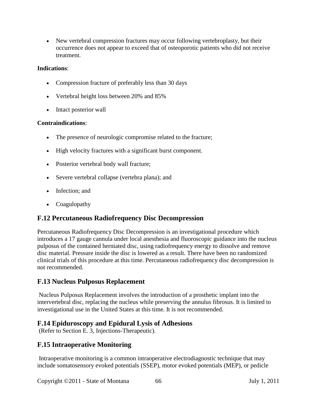• New vertebral compression fractures may occur following vertebroplasty, but their occurrence does not appear to exceed that of osteoporotic patients who did not receive treatment.

#### **Indications**:

- Compression fracture of preferably less than 30 days
- Vertebral height loss between 20% and 85%
- Intact posterior wall

#### **Contraindications**:

- The presence of neurologic compromise related to the fracture;
- High velocity fractures with a significant burst component.
- Posterior vertebral body wall fracture;
- Severe vertebral collapse (vertebra plana); and
- Infection; and
- Coagulopathy

#### **F.12 Percutaneous Radiofrequency Disc Decompression**

Percutaneous Radiofrequency Disc Decompression is an investigational procedure which introduces a 17 gauge cannula under local anesthesia and fluoroscopic guidance into the nucleus pulposus of the contained herniated disc, using radiofrequency energy to dissolve and remove disc material. Pressure inside the disc is lowered as a result. There have been no randomized clinical trials of this procedure at this time. Percutaneous radiofrequency disc decompression is not recommended.

#### **F.13 Nucleus Pulposus Replacement**

Nucleus Pulposus Replacement involves the introduction of a prosthetic implant into the intervertebral disc, replacing the nucleus while preserving the annulus fibrosus. It is limited to investigational use in the United States at this time. It is not recommended.

#### **F.14 Epiduroscopy and Epidural Lysis of Adhesions**

(Refer to Section E. 3, Injections-Therapeutic).

#### **F.15 Intraoperative Monitoring**

Intraoperative monitoring is a common intraoperative electrodiagnostic technique that may include somatosensory evoked potentials (SSEP), motor evoked potentials (MEP), or pedicle